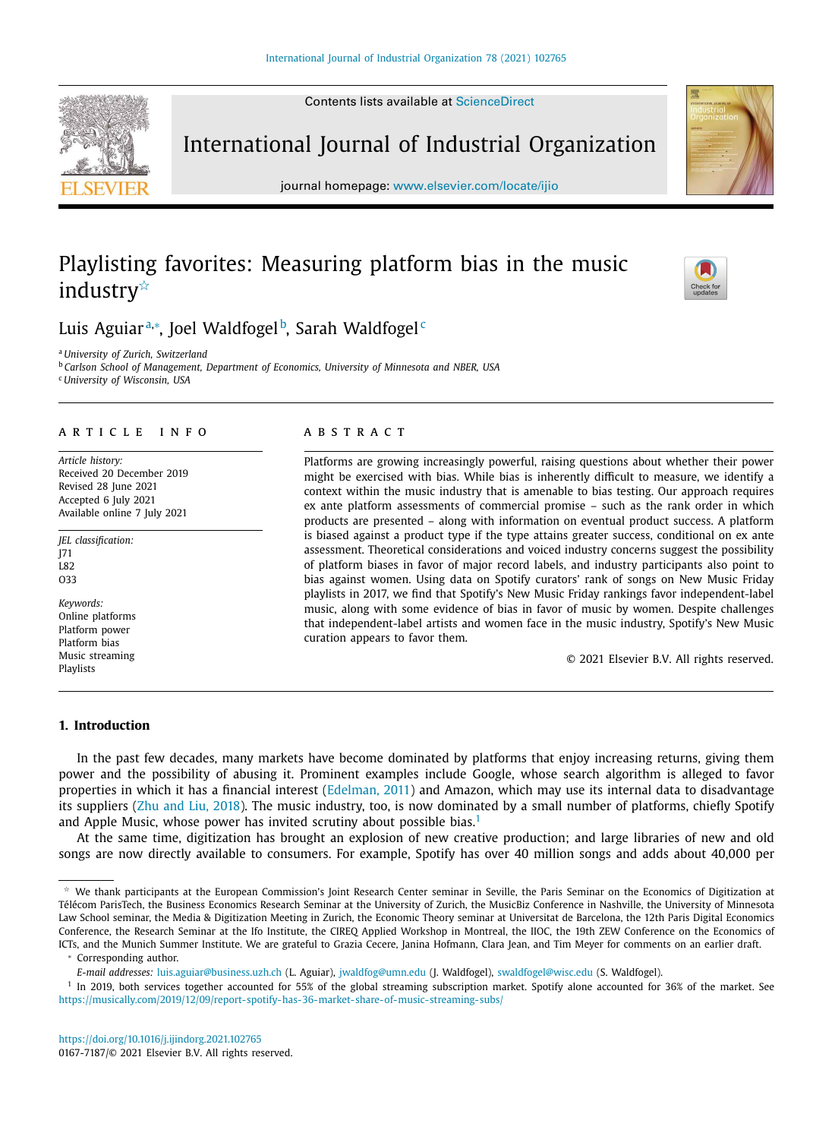Contents lists available at ScienceDirect

International Journal of Industrial Organization

journal homepage: www.elsevier.com/locate/ijio

# Playlisting favorites: Measuring platform bias in the music industry<sup>\*</sup>

# Luis Aguiar<sup>a,</sup>\*, Joel Waldfogel<sup>b</sup>, Sarah Waldfogel<sup>c</sup>

<sup>a</sup> *University of Zurich, Switzerland*

<sup>b</sup> *Carlson School of Management, Department of Economics, University of Minnesota and NBER, USA* <sup>c</sup> *University of Wisconsin, USA*

# a r t i c l e i n f o

*Article history:* Received 20 December 2019 Revised 28 June 2021 Accepted 6 July 2021 Available online 7 July 2021

*JEL classification:* J71 L82 O33

*Keywords:* Online platforms Platform power Platform bias Music streaming Playlists

# a b s t r a c t

Platforms are growing increasingly powerful, raising questions about whether their power might be exercised with bias. While bias is inherently difficult to measure, we identify a context within the music industry that is amenable to bias testing. Our approach requires ex ante platform assessments of commercial promise – such as the rank order in which products are presented – along with information on eventual product success. A platform is biased against a product type if the type attains greater success, conditional on ex ante assessment. Theoretical considerations and voiced industry concerns suggest the possibility of platform biases in favor of major record labels, and industry participants also point to bias against women. Using data on Spotify curators' rank of songs on New Music Friday playlists in 2017, we find that Spotify's New Music Friday rankings favor independent-label music, along with some evidence of bias in favor of music by women. Despite challenges that independent-label artists and women face in the music industry, Spotify's New Music curation appears to favor them.

© 2021 Elsevier B.V. All rights reserved.

# **1. Introduction**

In the past few decades, many markets have become dominated by platforms that enjoy increasing returns, giving them power and the possibility of abusing it. Prominent examples include Google, whose search algorithm is alleged to favor properties in which it has a financial interest (Edelman, 2011) and Amazon, which may use its internal data to disadvantage its suppliers (Zhu and Liu, 2018). The music industry, too, is now dominated by a small number of platforms, chiefly Spotify and Apple Music, whose power has invited scrutiny about possible bias. $<sup>1</sup>$ </sup>

At the same time, digitization has brought an explosion of new creative production; and large libraries of new and old songs are now directly available to consumers. For example, Spotify has over 40 million songs and adds about 40,000 per

<sup>∗</sup> Corresponding author.







 $*$  We thank participants at the European Commission's Joint Research Center seminar in Seville, the Paris Seminar on the Economics of Digitization at Télécom ParisTech, the Business Economics Research Seminar at the University of Zurich, the MusicBiz Conference in Nashville, the University of Minnesota Law School seminar, the Media & Digitization Meeting in Zurich, the Economic Theory seminar at Universitat de Barcelona, the 12th Paris Digital Economics Conference, the Research Seminar at the Ifo Institute, the CIREQ Applied Workshop in Montreal, the IIOC, the 19th ZEW Conference on the Economics of ICTs, and the Munich Summer Institute. We are grateful to Grazia Cecere, Janina Hofmann, Clara Jean, and Tim Meyer for comments on an earlier draft.

*E-mail addresses:* luis.aguiar@business.uzh.ch (L. Aguiar), jwaldfog@umn.edu (J. Waldfogel), swaldfogel@wisc.edu (S. Waldfogel).

<sup>&</sup>lt;sup>1</sup> In 2019, both services together accounted for 55% of the global streaming subscription market. Spotify alone accounted for 36% of the market. See https://musically.com/2019/12/09/report-spotify-has-36-market-share-of-music-streaming-subs/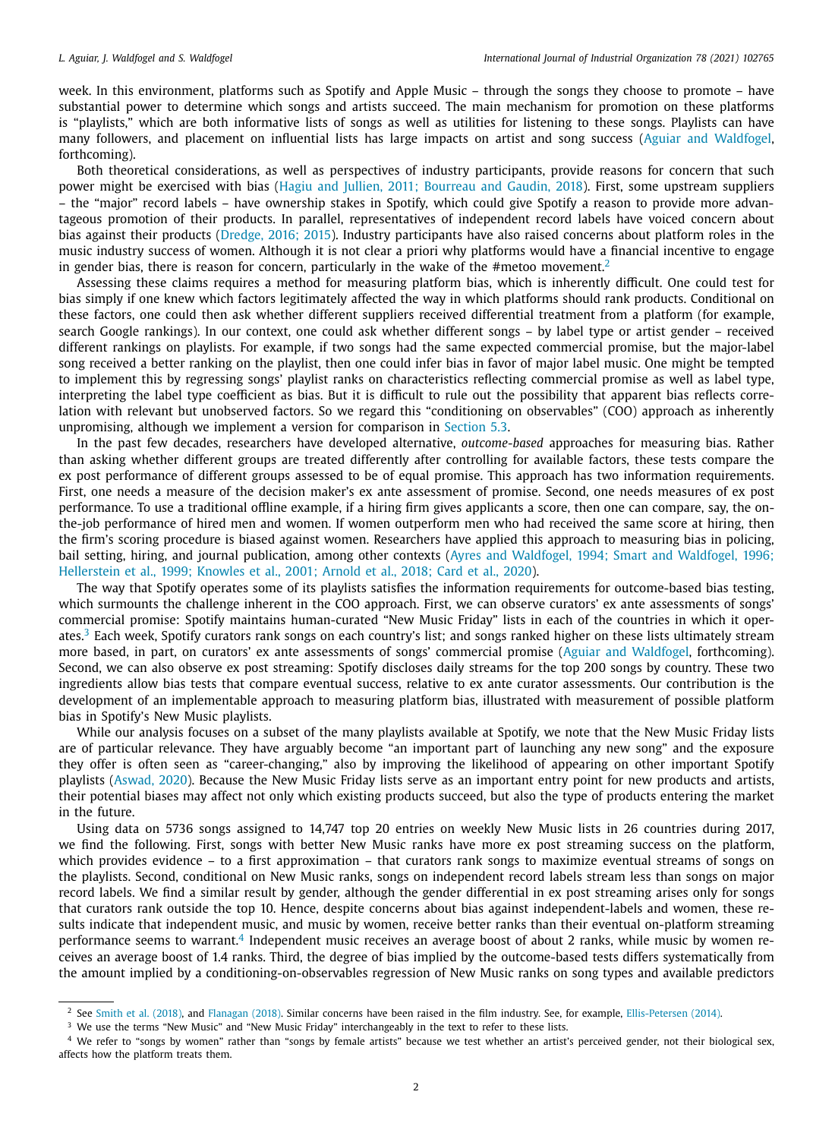week. In this environment, platforms such as Spotify and Apple Music – through the songs they choose to promote – have substantial power to determine which songs and artists succeed. The main mechanism for promotion on these platforms is "playlists," which are both informative lists of songs as well as utilities for listening to these songs. Playlists can have many followers, and placement on influential lists has large impacts on artist and song success (Aguiar and Waldfogel, forthcoming).

Both theoretical considerations, as well as perspectives of industry participants, provide reasons for concern that such power might be exercised with bias (Hagiu and Jullien, 2011; Bourreau and Gaudin, 2018). First, some upstream suppliers – the "major" record labels – have ownership stakes in Spotify, which could give Spotify a reason to provide more advantageous promotion of their products. In parallel, representatives of independent record labels have voiced concern about bias against their products (Dredge, 2016; 2015). Industry participants have also raised concerns about platform roles in the music industry success of women. Although it is not clear a priori why platforms would have a financial incentive to engage in gender bias, there is reason for concern, particularly in the wake of the #metoo movement.<sup>2</sup>

Assessing these claims requires a method for measuring platform bias, which is inherently difficult. One could test for bias simply if one knew which factors legitimately affected the way in which platforms should rank products. Conditional on these factors, one could then ask whether different suppliers received differential treatment from a platform (for example, search Google rankings). In our context, one could ask whether different songs – by label type or artist gender – received different rankings on playlists. For example, if two songs had the same expected commercial promise, but the major-label song received a better ranking on the playlist, then one could infer bias in favor of major label music. One might be tempted to implement this by regressing songs' playlist ranks on characteristics reflecting commercial promise as well as label type, interpreting the label type coefficient as bias. But it is difficult to rule out the possibility that apparent bias reflects correlation with relevant but unobserved factors. So we regard this "conditioning on observables" (COO) approach as inherently unpromising, although we implement a version for comparison in Section 5.3.

In the past few decades, researchers have developed alternative, *outcome-based* approaches for measuring bias. Rather than asking whether different groups are treated differently after controlling for available factors, these tests compare the ex post performance of different groups assessed to be of equal promise. This approach has two information requirements. First, one needs a measure of the decision maker's ex ante assessment of promise. Second, one needs measures of ex post performance. To use a traditional offline example, if a hiring firm gives applicants a score, then one can compare, say, the onthe-job performance of hired men and women. If women outperform men who had received the same score at hiring, then the firm's scoring procedure is biased against women. Researchers have applied this approach to measuring bias in policing, bail setting, hiring, and journal publication, among other contexts (Ayres and Waldfogel, 1994; Smart and Waldfogel, 1996; Hellerstein et al., 1999; Knowles et al., 2001; Arnold et al., 2018; Card et al., 2020).

The way that Spotify operates some of its playlists satisfies the information requirements for outcome-based bias testing, which surmounts the challenge inherent in the COO approach. First, we can observe curators' ex ante assessments of songs' commercial promise: Spotify maintains human-curated "New Music Friday" lists in each of the countries in which it operates.<sup>3</sup> Each week, Spotify curators rank songs on each country's list; and songs ranked higher on these lists ultimately stream more based, in part, on curators' ex ante assessments of songs' commercial promise (Aguiar and Waldfogel, forthcoming). Second, we can also observe ex post streaming: Spotify discloses daily streams for the top 200 songs by country. These two ingredients allow bias tests that compare eventual success, relative to ex ante curator assessments. Our contribution is the development of an implementable approach to measuring platform bias, illustrated with measurement of possible platform bias in Spotify's New Music playlists.

While our analysis focuses on a subset of the many playlists available at Spotify, we note that the New Music Friday lists are of particular relevance. They have arguably become "an important part of launching any new song" and the exposure they offer is often seen as "career-changing," also by improving the likelihood of appearing on other important Spotify playlists (Aswad, 2020). Because the New Music Friday lists serve as an important entry point for new products and artists, their potential biases may affect not only which existing products succeed, but also the type of products entering the market in the future.

Using data on 5736 songs assigned to 14,747 top 20 entries on weekly New Music lists in 26 countries during 2017, we find the following. First, songs with better New Music ranks have more ex post streaming success on the platform, which provides evidence – to a first approximation – that curators rank songs to maximize eventual streams of songs on the playlists. Second, conditional on New Music ranks, songs on independent record labels stream less than songs on major record labels. We find a similar result by gender, although the gender differential in ex post streaming arises only for songs that curators rank outside the top 10. Hence, despite concerns about bias against independent-labels and women, these results indicate that independent music, and music by women, receive better ranks than their eventual on-platform streaming performance seems to warrant.<sup>4</sup> Independent music receives an average boost of about 2 ranks, while music by women receives an average boost of 1.4 ranks. Third, the degree of bias implied by the outcome-based tests differs systematically from the amount implied by a conditioning-on-observables regression of New Music ranks on song types and available predictors

<sup>&</sup>lt;sup>2</sup> See Smith et al. (2018), and Flanagan (2018). Similar concerns have been raised in the film industry. See, for example, Ellis-Petersen (2014).

<sup>&</sup>lt;sup>3</sup> We use the terms "New Music" and "New Music Friday" interchangeably in the text to refer to these lists.

<sup>4</sup> We refer to "songs by women" rather than "songs by female artists" because we test whether an artist's perceived gender, not their biological sex, affects how the platform treats them.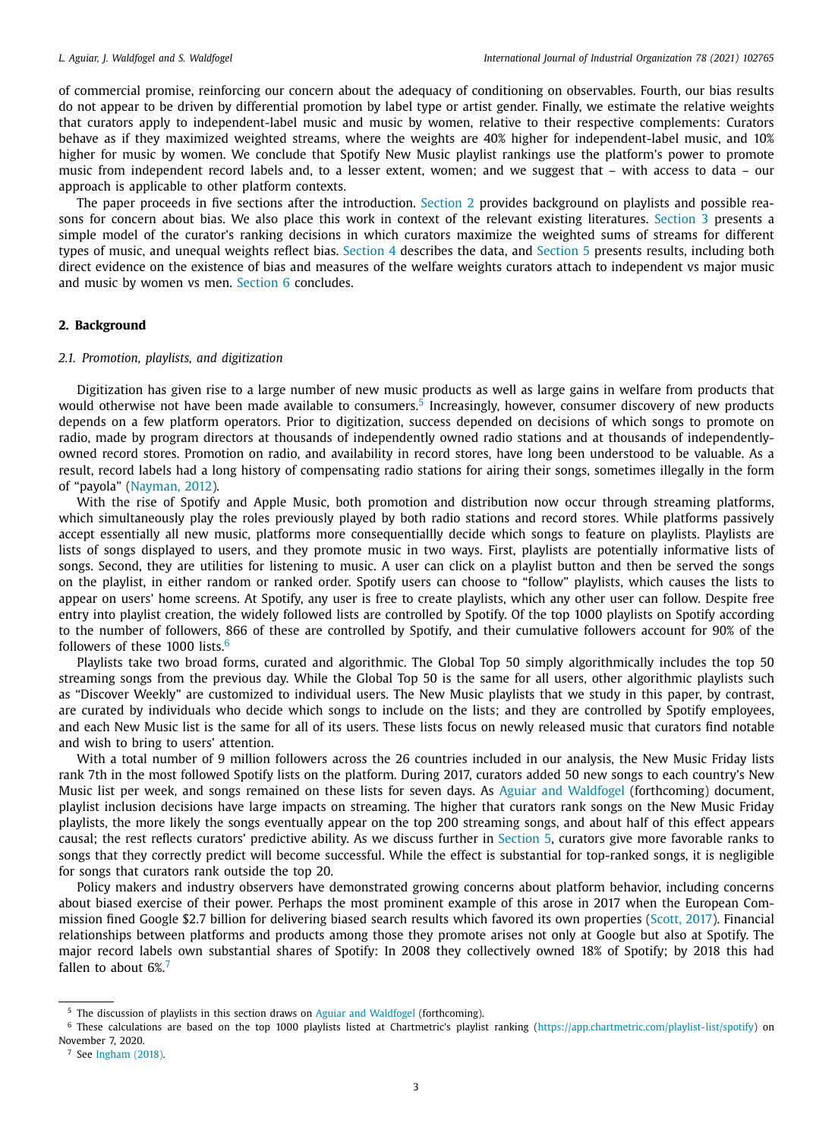of commercial promise, reinforcing our concern about the adequacy of conditioning on observables. Fourth, our bias results do not appear to be driven by differential promotion by label type or artist gender. Finally, we estimate the relative weights that curators apply to independent-label music and music by women, relative to their respective complements: Curators behave as if they maximized weighted streams, where the weights are 40% higher for independent-label music, and 10% higher for music by women. We conclude that Spotify New Music playlist rankings use the platform's power to promote music from independent record labels and, to a lesser extent, women; and we suggest that – with access to data – our approach is applicable to other platform contexts.

The paper proceeds in five sections after the introduction. Section 2 provides background on playlists and possible reasons for concern about bias. We also place this work in context of the relevant existing literatures. Section 3 presents a simple model of the curator's ranking decisions in which curators maximize the weighted sums of streams for different types of music, and unequal weights reflect bias. Section 4 describes the data, and Section 5 presents results, including both direct evidence on the existence of bias and measures of the welfare weights curators attach to independent vs major music and music by women vs men. Section 6 concludes.

# **2. Background**

### *2.1. Promotion, playlists, and digitization*

Digitization has given rise to a large number of new music products as well as large gains in welfare from products that would otherwise not have been made available to consumers.<sup>5</sup> Increasingly, however, consumer discovery of new products depends on a few platform operators. Prior to digitization, success depended on decisions of which songs to promote on radio, made by program directors at thousands of independently owned radio stations and at thousands of independentlyowned record stores. Promotion on radio, and availability in record stores, have long been understood to be valuable. As a result, record labels had a long history of compensating radio stations for airing their songs, sometimes illegally in the form of "payola" (Nayman, 2012).

With the rise of Spotify and Apple Music, both promotion and distribution now occur through streaming platforms, which simultaneously play the roles previously played by both radio stations and record stores. While platforms passively accept essentially all new music, platforms more consequentiallly decide which songs to feature on playlists. Playlists are lists of songs displayed to users, and they promote music in two ways. First, playlists are potentially informative lists of songs. Second, they are utilities for listening to music. A user can click on a playlist button and then be served the songs on the playlist, in either random or ranked order. Spotify users can choose to "follow" playlists, which causes the lists to appear on users' home screens. At Spotify, any user is free to create playlists, which any other user can follow. Despite free entry into playlist creation, the widely followed lists are controlled by Spotify. Of the top 1000 playlists on Spotify according to the number of followers, 866 of these are controlled by Spotify, and their cumulative followers account for 90% of the followers of these 1000 lists.<sup>6</sup>

Playlists take two broad forms, curated and algorithmic. The Global Top 50 simply algorithmically includes the top 50 streaming songs from the previous day. While the Global Top 50 is the same for all users, other algorithmic playlists such as "Discover Weekly" are customized to individual users. The New Music playlists that we study in this paper, by contrast, are curated by individuals who decide which songs to include on the lists; and they are controlled by Spotify employees, and each New Music list is the same for all of its users. These lists focus on newly released music that curators find notable and wish to bring to users' attention.

With a total number of 9 million followers across the 26 countries included in our analysis, the New Music Friday lists rank 7th in the most followed Spotify lists on the platform. During 2017, curators added 50 new songs to each country's New Music list per week, and songs remained on these lists for seven days. As Aguiar and Waldfogel (forthcoming) document, playlist inclusion decisions have large impacts on streaming. The higher that curators rank songs on the New Music Friday playlists, the more likely the songs eventually appear on the top 200 streaming songs, and about half of this effect appears causal; the rest reflects curators' predictive ability. As we discuss further in Section 5, curators give more favorable ranks to songs that they correctly predict will become successful. While the effect is substantial for top-ranked songs, it is negligible for songs that curators rank outside the top 20.

Policy makers and industry observers have demonstrated growing concerns about platform behavior, including concerns about biased exercise of their power. Perhaps the most prominent example of this arose in 2017 when the European Commission fined Google \$2.7 billion for delivering biased search results which favored its own properties (Scott, 2017). Financial relationships between platforms and products among those they promote arises not only at Google but also at Spotify. The major record labels own substantial shares of Spotify: In 2008 they collectively owned 18% of Spotify; by 2018 this had fallen to about 6%.<sup>7</sup>

<sup>5</sup> The discussion of playlists in this section draws on Aguiar and Waldfogel (forthcoming).

<sup>&</sup>lt;sup>6</sup> These calculations are based on the top 1000 playlists listed at Chartmetric's playlist ranking (https://app.chartmetric.com/playlist-list/spotify) on November 7, 2020.

<sup>7</sup> See Ingham (2018).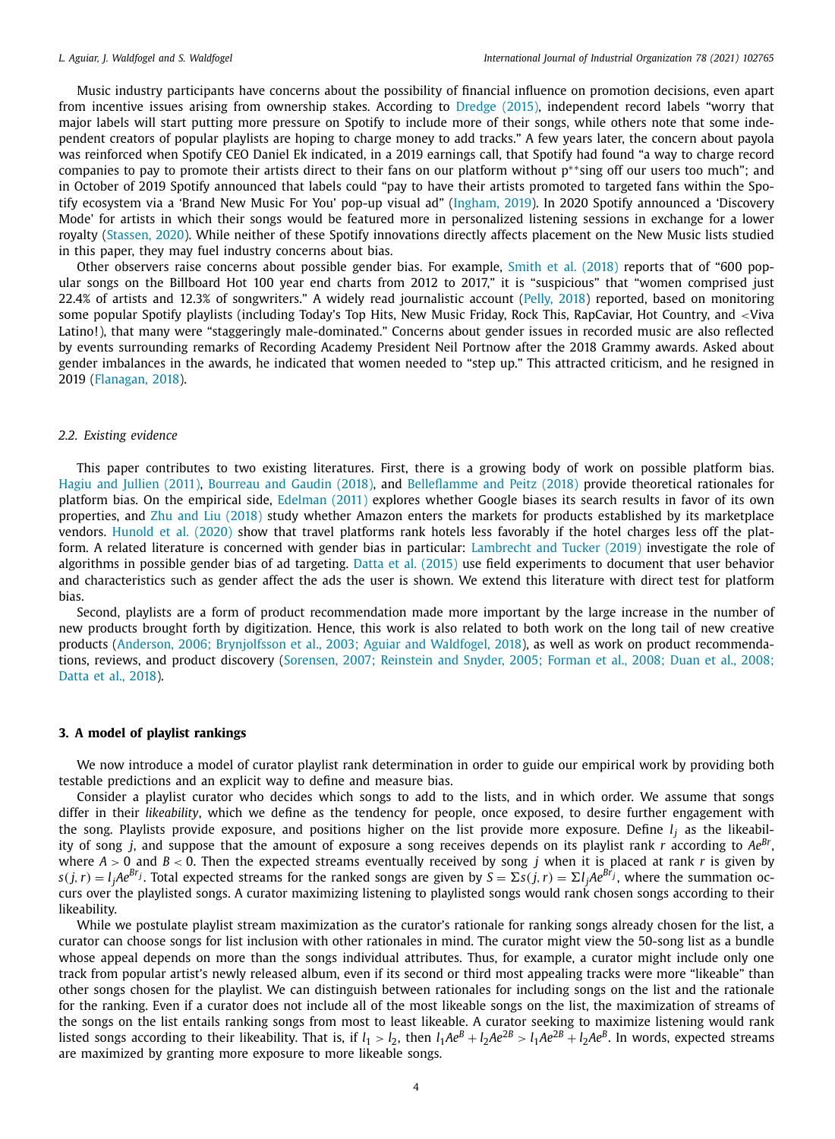Music industry participants have concerns about the possibility of financial influence on promotion decisions, even apart from incentive issues arising from ownership stakes. According to Dredge (2015), independent record labels "worry that major labels will start putting more pressure on Spotify to include more of their songs, while others note that some independent creators of popular playlists are hoping to charge money to add tracks." A few years later, the concern about payola was reinforced when Spotify CEO Daniel Ek indicated, in a 2019 earnings call, that Spotify had found "a way to charge record companies to pay to promote their artists direct to their fans on our platform without p\*\*sing off our users too much"; and in October of 2019 Spotify announced that labels could "pay to have their artists promoted to targeted fans within the Spotify ecosystem via a 'Brand New Music For You' pop-up visual ad" (Ingham, 2019). In 2020 Spotify announced a 'Discovery Mode' for artists in which their songs would be featured more in personalized listening sessions in exchange for a lower royalty (Stassen, 2020). While neither of these Spotify innovations directly affects placement on the New Music lists studied in this paper, they may fuel industry concerns about bias.

Other observers raise concerns about possible gender bias. For example, Smith et al. (2018) reports that of "600 popular songs on the Billboard Hot 100 year end charts from 2012 to 2017," it is "suspicious" that "women comprised just 22.4% of artists and 12.3% of songwriters." A widely read journalistic account (Pelly, 2018) reported, based on monitoring some popular Spotify playlists (including Today's Top Hits, New Music Friday, Rock This, RapCaviar, Hot Country, and <Viva Latino!), that many were "staggeringly male-dominated." Concerns about gender issues in recorded music are also reflected by events surrounding remarks of Recording Academy President Neil Portnow after the 2018 Grammy awards. Asked about gender imbalances in the awards, he indicated that women needed to "step up." This attracted criticism, and he resigned in 2019 (Flanagan, 2018).

# *2.2. Existing evidence*

This paper contributes to two existing literatures. First, there is a growing body of work on possible platform bias. Hagiu and Jullien (2011), Bourreau and Gaudin (2018), and Belleflamme and Peitz (2018) provide theoretical rationales for platform bias. On the empirical side, Edelman (2011) explores whether Google biases its search results in favor of its own properties, and Zhu and Liu (2018) study whether Amazon enters the markets for products established by its marketplace vendors. Hunold et al. (2020) show that travel platforms rank hotels less favorably if the hotel charges less off the platform. A related literature is concerned with gender bias in particular: Lambrecht and Tucker (2019) investigate the role of algorithms in possible gender bias of ad targeting. Datta et al. (2015) use field experiments to document that user behavior and characteristics such as gender affect the ads the user is shown. We extend this literature with direct test for platform bias.

Second, playlists are a form of product recommendation made more important by the large increase in the number of new products brought forth by digitization. Hence, this work is also related to both work on the long tail of new creative products (Anderson, 2006; Brynjolfsson et al., 2003; Aguiar and Waldfogel, 2018), as well as work on product recommendations, reviews, and product discovery (Sorensen, 2007; Reinstein and Snyder, 2005; Forman et al., 2008; Duan et al., 2008; Datta et al., 2018).

# **3. A model of playlist rankings**

We now introduce a model of curator playlist rank determination in order to guide our empirical work by providing both testable predictions and an explicit way to define and measure bias.

Consider a playlist curator who decides which songs to add to the lists, and in which order. We assume that songs differ in their *likeability*, which we define as the tendency for people, once exposed, to desire further engagement with the song. Playlists provide exposure, and positions higher on the list provide more exposure. Define *l <sup>j</sup>* as the likeability of song *j*, and suppose that the amount of exposure a song receives depends on its playlist rank *r* according to *AeBr* , where  $A > 0$  and  $B < 0$ . Then the expected streams eventually received by song *j* when it is placed at rank *r* is given by  $s(j,r)=l_jAe^{Br_j}.$  Total expected streams for the ranked songs are given by  $S=\Sigma s(j,r)=\Sigma l_jAe^{Br_j},$  where the summation occurs over the playlisted songs. A curator maximizing listening to playlisted songs would rank chosen songs according to their likeability.

While we postulate playlist stream maximization as the curator's rationale for ranking songs already chosen for the list, a curator can choose songs for list inclusion with other rationales in mind. The curator might view the 50-song list as a bundle whose appeal depends on more than the songs individual attributes. Thus, for example, a curator might include only one track from popular artist's newly released album, even if its second or third most appealing tracks were more "likeable" than other songs chosen for the playlist. We can distinguish between rationales for including songs on the list and the rationale for the ranking. Even if a curator does not include all of the most likeable songs on the list, the maximization of streams of the songs on the list entails ranking songs from most to least likeable. A curator seeking to maximize listening would rank listed songs according to their likeability. That is, if  $l_1 > l_2$ , then  $l_1Ae^B + l_2Ae^{2B} > l_1Ae^{2B} + l_2Ae^B$ . In words, expected streams are maximized by granting more exposure to more likeable songs.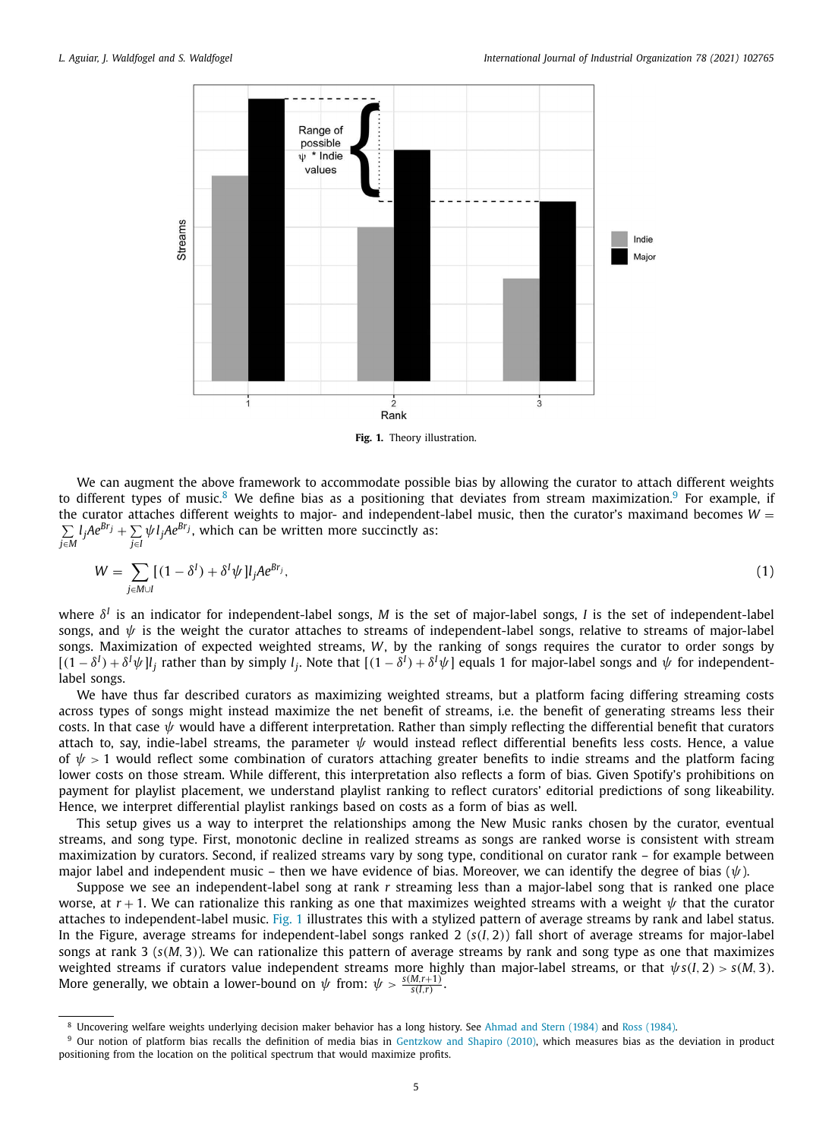

**Fig. 1.** Theory illustration.

We can augment the above framework to accommodate possible bias by allowing the curator to attach different weights to different types of music.<sup>8</sup> We define bias as a positioning that deviates from stream maximization.<sup>9</sup> For example, if the curator attaches different weights to major- and independent-label music, then the curator's maximand becomes  $W =$  $\sum$  $\sum_{j \in M} l_j A e^{B r_j} + \sum_{j \in I}$ *j*∈*I* ψ*l <sup>j</sup>AeBr<sup>j</sup>* , which can be written more succinctly as:

$$
W = \sum_{j \in M \cup I} [(1 - \delta^I) + \delta^I \psi] l_j A e^{Br_j}, \tag{1}
$$

where  $\delta^I$  is an indicator for independent-label songs, M is the set of major-label songs, I is the set of independent-label songs, and  $\psi$  is the weight the curator attaches to streams of independent-label songs, relative to streams of major-label songs. Maximization of expected weighted streams, *W*, by the ranking of songs requires the curator to order songs by  $[(1-\delta^I)+\delta^I\psi]l_j$  rather than by simply  $l_j$ . Note that  $[(1-\delta^I)+\delta^I\psi]$  equals 1 for major-label songs and  $\psi$  for independentlabel songs.

We have thus far described curators as maximizing weighted streams, but a platform facing differing streaming costs across types of songs might instead maximize the net benefit of streams, i.e. the benefit of generating streams less their costs. In that case  $\psi$  would have a different interpretation. Rather than simply reflecting the differential benefit that curators attach to, say, indie-label streams, the parameter  $\psi$  would instead reflect differential benefits less costs. Hence, a value of  $\psi > 1$  would reflect some combination of curators attaching greater benefits to indie streams and the platform facing lower costs on those stream. While different, this interpretation also reflects a form of bias. Given Spotify's prohibitions on payment for playlist placement, we understand playlist ranking to reflect curators' editorial predictions of song likeability. Hence, we interpret differential playlist rankings based on costs as a form of bias as well.

This setup gives us a way to interpret the relationships among the New Music ranks chosen by the curator, eventual streams, and song type. First, monotonic decline in realized streams as songs are ranked worse is consistent with stream maximization by curators. Second, if realized streams vary by song type, conditional on curator rank – for example between major label and independent music – then we have evidence of bias. Moreover, we can identify the degree of bias  $(\psi)$ .

Suppose we see an independent-label song at rank *r* streaming less than a major-label song that is ranked one place worse, at  $r + 1$ . We can rationalize this ranking as one that maximizes weighted streams with a weight  $\psi$  that the curator attaches to independent-label music. Fig. 1 illustrates this with a stylized pattern of average streams by rank and label status. In the Figure, average streams for independent-label songs ranked 2 (*s*(*I*, 2)) fall short of average streams for major-label songs at rank 3 (*s*(*M*, 3)). We can rationalize this pattern of average streams by rank and song type as one that maximizes weighted streams if curators value independent streams more highly than major-label streams, or that  $\psi s(I, 2) > s(M, 3)$ . More generally, we obtain a lower-bound on  $\psi$  from:  $\psi > \frac{s(M,r+1)}{s(I,r)}$ .

<sup>8</sup> Uncovering welfare weights underlying decision maker behavior has a long history. See Ahmad and Stern (1984) and Ross (1984).

Our notion of platform bias recalls the definition of media bias in Gentzkow and Shapiro (2010), which measures bias as the deviation in product positioning from the location on the political spectrum that would maximize profits.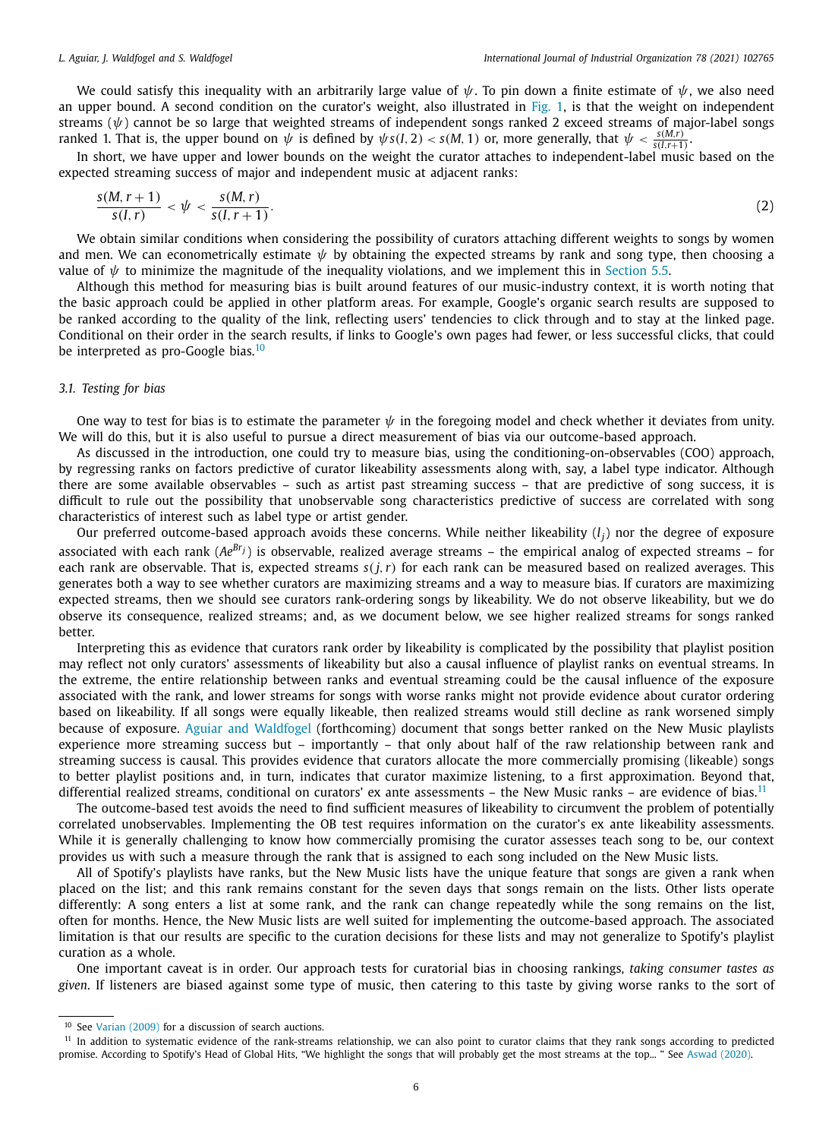We could satisfy this inequality with an arbitrarily large value of  $\psi$ . To pin down a finite estimate of  $\psi$ , we also need an upper bound. A second condition on the curator's weight, also illustrated in Fig. 1, is that the weight on independent streams ( $\psi$ ) cannot be so large that weighted streams of independent songs ranked 2 exceed streams of major-label songs ranked 1. That is, the upper bound on  $\psi$  is defined by  $\psi s(I, 2) < s(M, 1)$  or, more generally, that  $\psi < \frac{s(M, r)}{s(I, r+1)}$ .

In short, we have upper and lower bounds on the weight the curator attaches to independent-label music based on the expected streaming success of major and independent music at adjacent ranks:

$$
\frac{s(M,r+1)}{s(I,r)} < \psi < \frac{s(M,r)}{s(I,r+1)}.\tag{2}
$$

We obtain similar conditions when considering the possibility of curators attaching different weights to songs by women and men. We can econometrically estimate  $\psi$  by obtaining the expected streams by rank and song type, then choosing a value of  $\psi$  to minimize the magnitude of the inequality violations, and we implement this in Section 5.5.

Although this method for measuring bias is built around features of our music-industry context, it is worth noting that the basic approach could be applied in other platform areas. For example, Google's organic search results are supposed to be ranked according to the quality of the link, reflecting users' tendencies to click through and to stay at the linked page. Conditional on their order in the search results, if links to Google's own pages had fewer, or less successful clicks, that could be interpreted as pro-Google bias.<sup>10</sup>

## *3.1. Testing for bias*

One way to test for bias is to estimate the parameter  $\psi$  in the foregoing model and check whether it deviates from unity. We will do this, but it is also useful to pursue a direct measurement of bias via our outcome-based approach.

As discussed in the introduction, one could try to measure bias, using the conditioning-on-observables (COO) approach, by regressing ranks on factors predictive of curator likeability assessments along with, say, a label type indicator. Although there are some available observables – such as artist past streaming success – that are predictive of song success, it is difficult to rule out the possibility that unobservable song characteristics predictive of success are correlated with song characteristics of interest such as label type or artist gender.

Our preferred outcome-based approach avoids these concerns. While neither likeability (*l j* ) nor the degree of exposure associated with each rank (*AeBrj*) is observable, realized average streams – the empirical analog of expected streams – for each rank are observable. That is, expected streams  $s(j, r)$  for each rank can be measured based on realized averages. This generates both a way to see whether curators are maximizing streams and a way to measure bias. If curators are maximizing expected streams, then we should see curators rank-ordering songs by likeability. We do not observe likeability, but we do observe its consequence, realized streams; and, as we document below, we see higher realized streams for songs ranked better.

Interpreting this as evidence that curators rank order by likeability is complicated by the possibility that playlist position may reflect not only curators' assessments of likeability but also a causal influence of playlist ranks on eventual streams. In the extreme, the entire relationship between ranks and eventual streaming could be the causal influence of the exposure associated with the rank, and lower streams for songs with worse ranks might not provide evidence about curator ordering based on likeability. If all songs were equally likeable, then realized streams would still decline as rank worsened simply because of exposure. Aguiar and Waldfogel (forthcoming) document that songs better ranked on the New Music playlists experience more streaming success but – importantly – that only about half of the raw relationship between rank and streaming success is causal. This provides evidence that curators allocate the more commercially promising (likeable) songs to better playlist positions and, in turn, indicates that curator maximize listening, to a first approximation. Beyond that, differential realized streams, conditional on curators' ex ante assessments – the New Music ranks – are evidence of bias.<sup>11</sup>

The outcome-based test avoids the need to find sufficient measures of likeability to circumvent the problem of potentially correlated unobservables. Implementing the OB test requires information on the curator's ex ante likeability assessments. While it is generally challenging to know how commercially promising the curator assesses teach song to be, our context provides us with such a measure through the rank that is assigned to each song included on the New Music lists.

All of Spotify's playlists have ranks, but the New Music lists have the unique feature that songs are given a rank when placed on the list; and this rank remains constant for the seven days that songs remain on the lists. Other lists operate differently: A song enters a list at some rank, and the rank can change repeatedly while the song remains on the list, often for months. Hence, the New Music lists are well suited for implementing the outcome-based approach. The associated limitation is that our results are specific to the curation decisions for these lists and may not generalize to Spotify's playlist curation as a whole.

One important caveat is in order. Our approach tests for curatorial bias in choosing rankings, *taking consumer tastes as given*. If listeners are biased against some type of music, then catering to this taste by giving worse ranks to the sort of

<sup>&</sup>lt;sup>10</sup> See Varian (2009) for a discussion of search auctions.

 $11$  In addition to systematic evidence of the rank-streams relationship, we can also point to curator claims that they rank songs according to predicted promise. According to Spotify's Head of Global Hits, "We highlight the songs that will probably get the most streams at the top... " See Aswad (2020).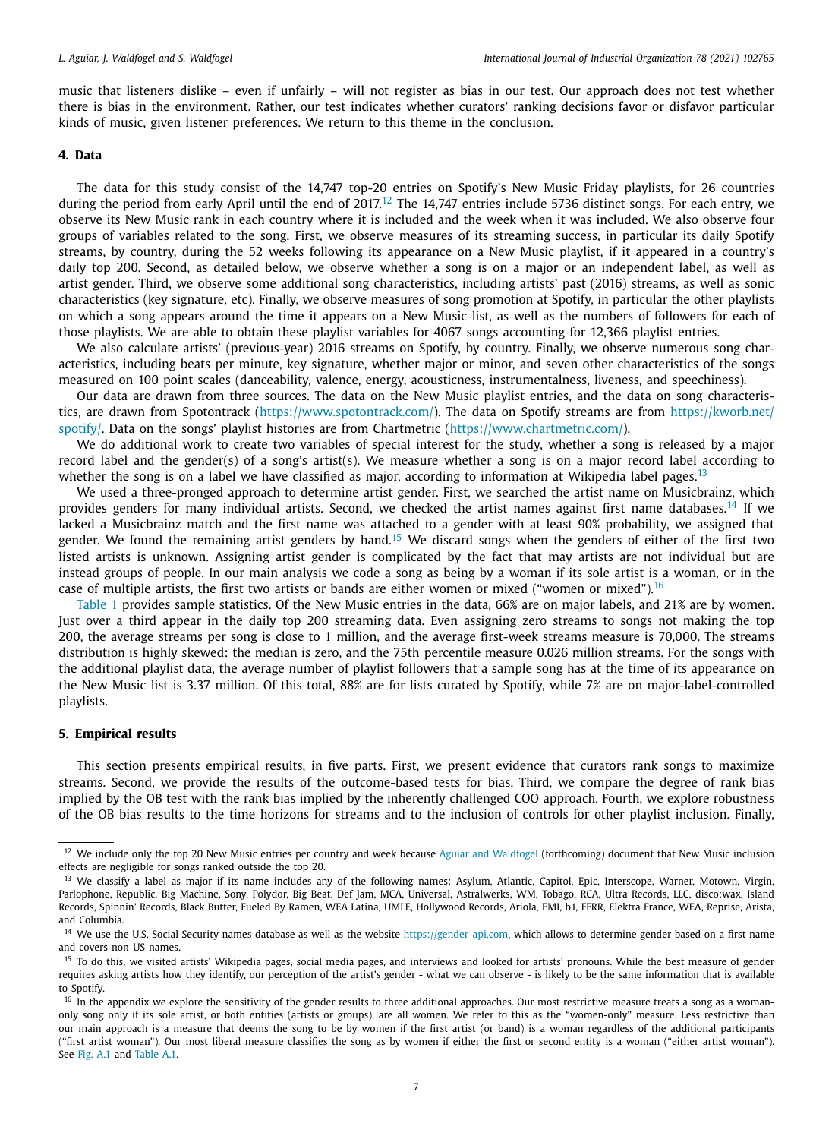music that listeners dislike – even if unfairly – will not register as bias in our test. Our approach does not test whether there is bias in the environment. Rather, our test indicates whether curators' ranking decisions favor or disfavor particular kinds of music, given listener preferences. We return to this theme in the conclusion.

# **4. Data**

The data for this study consist of the 14,747 top-20 entries on Spotify's New Music Friday playlists, for 26 countries during the period from early April until the end of 2017.<sup>12</sup> The 14,747 entries include 5736 distinct songs. For each entry, we observe its New Music rank in each country where it is included and the week when it was included. We also observe four groups of variables related to the song. First, we observe measures of its streaming success, in particular its daily Spotify streams, by country, during the 52 weeks following its appearance on a New Music playlist, if it appeared in a country's daily top 200. Second, as detailed below, we observe whether a song is on a major or an independent label, as well as artist gender. Third, we observe some additional song characteristics, including artists' past (2016) streams, as well as sonic characteristics (key signature, etc). Finally, we observe measures of song promotion at Spotify, in particular the other playlists on which a song appears around the time it appears on a New Music list, as well as the numbers of followers for each of those playlists. We are able to obtain these playlist variables for 4067 songs accounting for 12,366 playlist entries.

We also calculate artists' (previous-year) 2016 streams on Spotify, by country. Finally, we observe numerous song characteristics, including beats per minute, key signature, whether major or minor, and seven other characteristics of the songs measured on 100 point scales (danceability, valence, energy, acousticness, instrumentalness, liveness, and speechiness).

Our data are drawn from three sources. The data on the New Music playlist entries, and the data on song characteristics, are drawn from Spotontrack (https://www.spotontrack.com/). The data on Spotify streams are from https://kworb.net/ spotify/. Data on the songs' playlist histories are from Chartmetric (https://www.chartmetric.com/).

We do additional work to create two variables of special interest for the study, whether a song is released by a major record label and the gender(s) of a song's artist(s). We measure whether a song is on a major record label according to whether the song is on a label we have classified as major, according to information at Wikipedia label pages.<sup>13</sup>

We used a three-pronged approach to determine artist gender. First, we searched the artist name on Musicbrainz, which provides genders for many individual artists. Second, we checked the artist names against first name databases.<sup>14</sup> If we lacked a Musicbrainz match and the first name was attached to a gender with at least 90% probability, we assigned that gender. We found the remaining artist genders by hand.<sup>15</sup> We discard songs when the genders of either of the first two listed artists is unknown. Assigning artist gender is complicated by the fact that may artists are not individual but are instead groups of people. In our main analysis we code a song as being by a woman if its sole artist is a woman, or in the case of multiple artists, the first two artists or bands are either women or mixed ("women or mixed").<sup>16</sup>

Table 1 provides sample statistics. Of the New Music entries in the data, 66% are on major labels, and 21% are by women. Just over a third appear in the daily top 200 streaming data. Even assigning zero streams to songs not making the top 200, the average streams per song is close to 1 million, and the average first-week streams measure is 70,000. The streams distribution is highly skewed: the median is zero, and the 75th percentile measure 0.026 million streams. For the songs with the additional playlist data, the average number of playlist followers that a sample song has at the time of its appearance on the New Music list is 3.37 million. Of this total, 88% are for lists curated by Spotify, while 7% are on major-label-controlled playlists.

## **5. Empirical results**

This section presents empirical results, in five parts. First, we present evidence that curators rank songs to maximize streams. Second, we provide the results of the outcome-based tests for bias. Third, we compare the degree of rank bias implied by the OB test with the rank bias implied by the inherently challenged COO approach. Fourth, we explore robustness of the OB bias results to the time horizons for streams and to the inclusion of controls for other playlist inclusion. Finally,

<sup>&</sup>lt;sup>12</sup> We include only the top 20 New Music entries per country and week because Aguiar and Waldfogel (forthcoming) document that New Music inclusion effects are negligible for songs ranked outside the top 20.

<sup>&</sup>lt;sup>13</sup> We classify a label as major if its name includes any of the following names: Asylum, Atlantic, Capitol, Epic, Interscope, Warner, Motown, Virgin, Parlophone, Republic, Big Machine, Sony, Polydor, Big Beat, Def Jam, MCA, Universal, Astralwerks, WM, Tobago, RCA, Ultra Records, LLC, disco:wax, Island Records, Spinnin' Records, Black Butter, Fueled By Ramen, WEA Latina, UMLE, Hollywood Records, Ariola, EMI, b1, FFRR, Elektra France, WEA, Reprise, Arista, and Columbia.

<sup>&</sup>lt;sup>14</sup> We use the U.S. Social Security names database as well as the website https://gender-api.com, which allows to determine gender based on a first name and covers non-US names.

<sup>&</sup>lt;sup>15</sup> To do this, we visited artists' Wikipedia pages, social media pages, and interviews and looked for artists' pronouns. While the best measure of gender requires asking artists how they identify, our perception of the artist's gender - what we can observe - is likely to be the same information that is available to Spotify.

<sup>&</sup>lt;sup>16</sup> In the appendix we explore the sensitivity of the gender results to three additional approaches. Our most restrictive measure treats a song as a womanonly song only if its sole artist, or both entities (artists or groups), are all women. We refer to this as the "women-only" measure. Less restrictive than our main approach is a measure that deems the song to be by women if the first artist (or band) is a woman regardless of the additional participants ("first artist woman"). Our most liberal measure classifies the song as by women if either the first or second entity is a woman ("either artist woman"). See Fig. A.1 and Table A.1.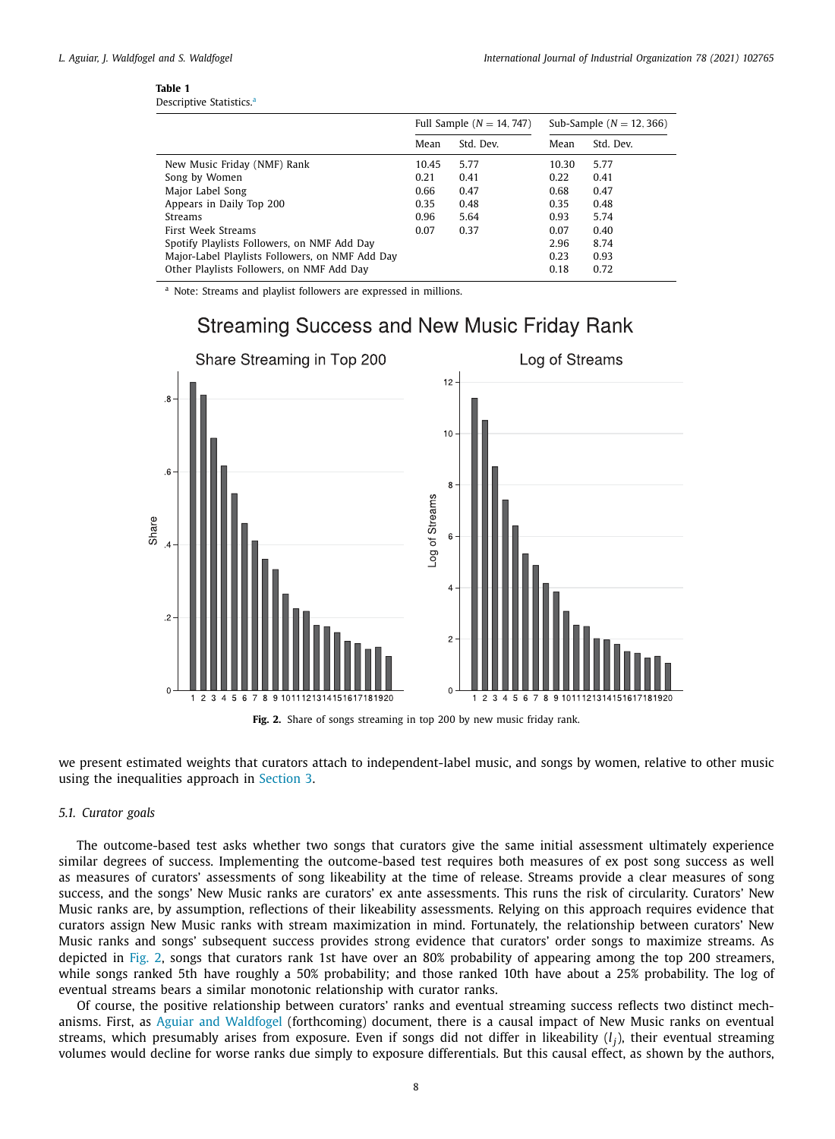| Table 1                              |  |
|--------------------------------------|--|
| Descriptive Statistics. <sup>a</sup> |  |

|                                                 |       | Full Sample $(N = 14, 747)$ | Sub-Sample $(N = 12, 366)$ |           |
|-------------------------------------------------|-------|-----------------------------|----------------------------|-----------|
|                                                 | Mean  | Std. Dev.                   | Mean                       | Std. Dev. |
| New Music Friday (NMF) Rank                     | 10.45 | 5.77                        | 10.30                      | 5.77      |
| Song by Women                                   | 0.21  | 0.41                        | 0.22                       | 0.41      |
| Major Label Song                                | 0.66  | 0.47                        | 0.68                       | 0.47      |
| Appears in Daily Top 200                        | 0.35  | 0.48                        | 0.35                       | 0.48      |
| <b>Streams</b>                                  | 0.96  | 5.64                        | 0.93                       | 5.74      |
| First Week Streams                              | 0.07  | 0.37                        | 0.07                       | 0.40      |
| Spotify Playlists Followers, on NMF Add Day     |       |                             | 2.96                       | 8.74      |
| Major-Label Playlists Followers, on NMF Add Day |       |                             | 0.23                       | 0.93      |
| Other Playlists Followers, on NMF Add Day       |       |                             | 0.18                       | 0.72      |

<sup>a</sup> Note: Streams and playlist followers are expressed in millions.



**Fig. 2.** Share of songs streaming in top 200 by new music friday rank.

we present estimated weights that curators attach to independent-label music, and songs by women, relative to other music using the inequalities approach in Section 3.

# *5.1. Curator goals*

The outcome-based test asks whether two songs that curators give the same initial assessment ultimately experience similar degrees of success. Implementing the outcome-based test requires both measures of ex post song success as well as measures of curators' assessments of song likeability at the time of release. Streams provide a clear measures of song success, and the songs' New Music ranks are curators' ex ante assessments. This runs the risk of circularity. Curators' New Music ranks are, by assumption, reflections of their likeability assessments. Relying on this approach requires evidence that curators assign New Music ranks with stream maximization in mind. Fortunately, the relationship between curators' New Music ranks and songs' subsequent success provides strong evidence that curators' order songs to maximize streams. As depicted in Fig. 2, songs that curators rank 1st have over an 80% probability of appearing among the top 200 streamers, while songs ranked 5th have roughly a 50% probability; and those ranked 10th have about a 25% probability. The log of eventual streams bears a similar monotonic relationship with curator ranks.

Of course, the positive relationship between curators' ranks and eventual streaming success reflects two distinct mechanisms. First, as Aguiar and Waldfogel (forthcoming) document, there is a causal impact of New Music ranks on eventual streams, which presumably arises from exposure. Even if songs did not differ in likeability (*l j* ), their eventual streaming volumes would decline for worse ranks due simply to exposure differentials. But this causal effect, as shown by the authors,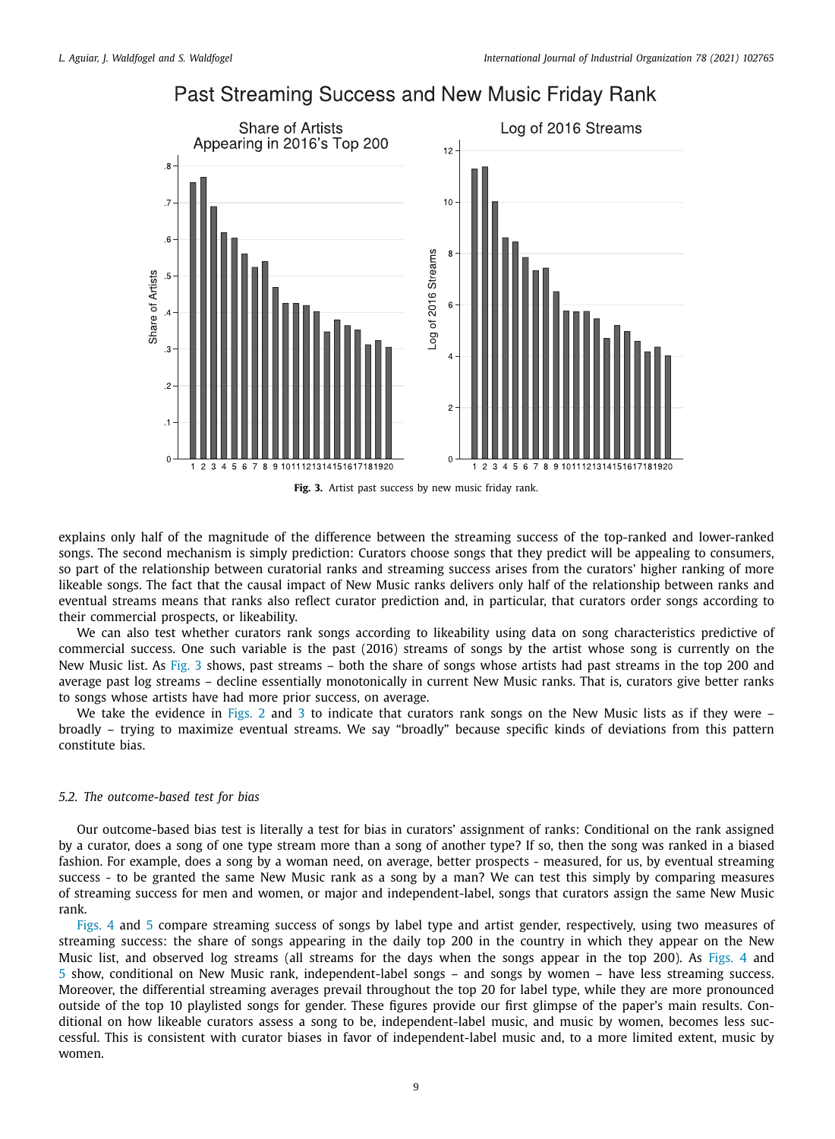

# Past Streaming Success and New Music Friday Rank

**Fig. 3.** Artist past success by new music friday rank.

explains only half of the magnitude of the difference between the streaming success of the top-ranked and lower-ranked songs. The second mechanism is simply prediction: Curators choose songs that they predict will be appealing to consumers, so part of the relationship between curatorial ranks and streaming success arises from the curators' higher ranking of more likeable songs. The fact that the causal impact of New Music ranks delivers only half of the relationship between ranks and eventual streams means that ranks also reflect curator prediction and, in particular, that curators order songs according to their commercial prospects, or likeability.

We can also test whether curators rank songs according to likeability using data on song characteristics predictive of commercial success. One such variable is the past (2016) streams of songs by the artist whose song is currently on the New Music list. As Fig. 3 shows, past streams – both the share of songs whose artists had past streams in the top 200 and average past log streams – decline essentially monotonically in current New Music ranks. That is, curators give better ranks to songs whose artists have had more prior success, on average.

We take the evidence in Figs. 2 and 3 to indicate that curators rank songs on the New Music lists as if they were – broadly – trying to maximize eventual streams. We say "broadly" because specific kinds of deviations from this pattern constitute bias.

### *5.2. The outcome-based test for bias*

Our outcome-based bias test is literally a test for bias in curators' assignment of ranks: Conditional on the rank assigned by a curator, does a song of one type stream more than a song of another type? If so, then the song was ranked in a biased fashion. For example, does a song by a woman need, on average, better prospects - measured, for us, by eventual streaming success - to be granted the same New Music rank as a song by a man? We can test this simply by comparing measures of streaming success for men and women, or major and independent-label, songs that curators assign the same New Music rank.

Figs. 4 and 5 compare streaming success of songs by label type and artist gender, respectively, using two measures of streaming success: the share of songs appearing in the daily top 200 in the country in which they appear on the New Music list, and observed log streams (all streams for the days when the songs appear in the top 200). As Figs. 4 and 5 show, conditional on New Music rank, independent-label songs – and songs by women – have less streaming success. Moreover, the differential streaming averages prevail throughout the top 20 for label type, while they are more pronounced outside of the top 10 playlisted songs for gender. These figures provide our first glimpse of the paper's main results. Conditional on how likeable curators assess a song to be, independent-label music, and music by women, becomes less successful. This is consistent with curator biases in favor of independent-label music and, to a more limited extent, music by women.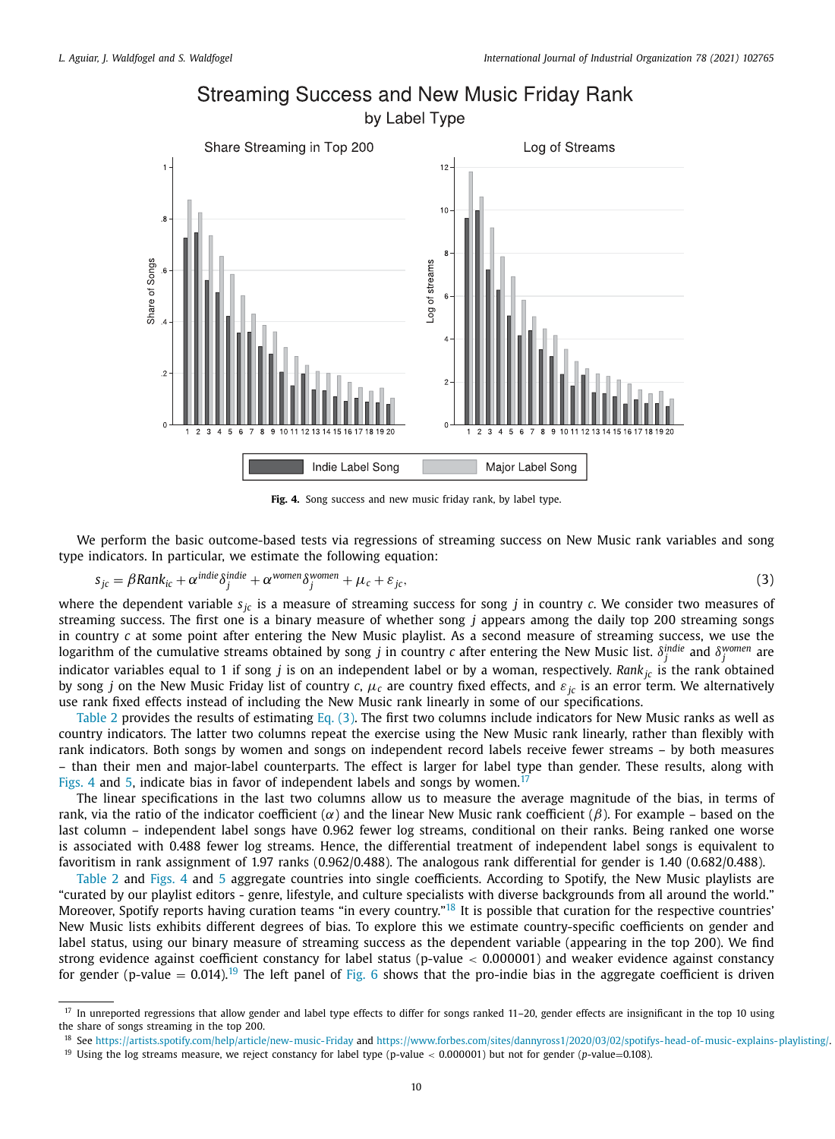

# **Streaming Success and New Music Friday Rank**

**Fig. 4.** Song success and new music friday rank, by label type.

We perform the basic outcome-based tests via regressions of streaming success on New Music rank variables and song type indicators. In particular, we estimate the following equation:

$$
s_{jc} = \beta Rank_{ic} + \alpha^{indie} \delta_j^{indie} + \alpha^{women} \delta_j^{women} + \mu_c + \varepsilon_{jc},
$$
\n(3)

where the dependent variable  $s_{jc}$  is a measure of streaming success for song *j* in country *c*. We consider two measures of streaming success. The first one is a binary measure of whether song *j* appears among the daily top 200 streaming songs in country *c* at some point after entering the New Music playlist. As a second measure of streaming success, we use the logarithm of the cumulative streams obtained by song *j* in country  $c$  after entering the New Music list.  $\delta_j^{indie}$  and  $\delta_j^{women}$  are indicator variables equal to 1 if song *j* is on an independent label or by a woman, respectively. *Rankjc* is the rank obtained by song *j* on the New Music Friday list of country *c*,  $\mu_c$  are country fixed effects, and  $\varepsilon_{ic}$  is an error term. We alternatively use rank fixed effects instead of including the New Music rank linearly in some of our specifications.

Table 2 provides the results of estimating Eq. (3). The first two columns include indicators for New Music ranks as well as country indicators. The latter two columns repeat the exercise using the New Music rank linearly, rather than flexibly with rank indicators. Both songs by women and songs on independent record labels receive fewer streams – by both measures – than their men and major-label counterparts. The effect is larger for label type than gender. These results, along with Figs. 4 and 5, indicate bias in favor of independent labels and songs by women.<sup>17</sup>

The linear specifications in the last two columns allow us to measure the average magnitude of the bias, in terms of rank, via the ratio of the indicator coefficient  $(\alpha)$  and the linear New Music rank coefficient  $(\beta)$ . For example – based on the last column – independent label songs have 0.962 fewer log streams, conditional on their ranks. Being ranked one worse is associated with 0.488 fewer log streams. Hence, the differential treatment of independent label songs is equivalent to favoritism in rank assignment of 1.97 ranks (0.962/0.488). The analogous rank differential for gender is 1.40 (0.682/0.488).

Table 2 and Figs. 4 and 5 aggregate countries into single coefficients. According to Spotify, the New Music playlists are "curated by our playlist editors - genre, lifestyle, and culture specialists with diverse backgrounds from all around the world." Moreover, Spotify reports having curation teams "in every country."<sup>18</sup> It is possible that curation for the respective countries' New Music lists exhibits different degrees of bias. To explore this we estimate country-specific coefficients on gender and label status, using our binary measure of streaming success as the dependent variable (appearing in the top 200). We find strong evidence against coefficient constancy for label status (p-value  $< 0.000001$ ) and weaker evidence against constancy for gender (p-value =  $0.014$ ).<sup>19</sup> The left panel of Fig. 6 shows that the pro-indie bias in the aggregate coefficient is driven

<sup>&</sup>lt;sup>17</sup> In unreported regressions that allow gender and label type effects to differ for songs ranked 11-20, gender effects are insignificant in the top 10 using the share of songs streaming in the top 200.

<sup>18</sup> See https://artists.spotify.com/help/article/new-music-Friday and https://www.forbes.com/sites/dannyross1/2020/03/02/spotifys-head-of-music-explains-playlisting/.

<sup>19</sup> Using the log streams measure, we reject constancy for label type (p-value < 0.000001) but not for gender (*p*-value=0.108).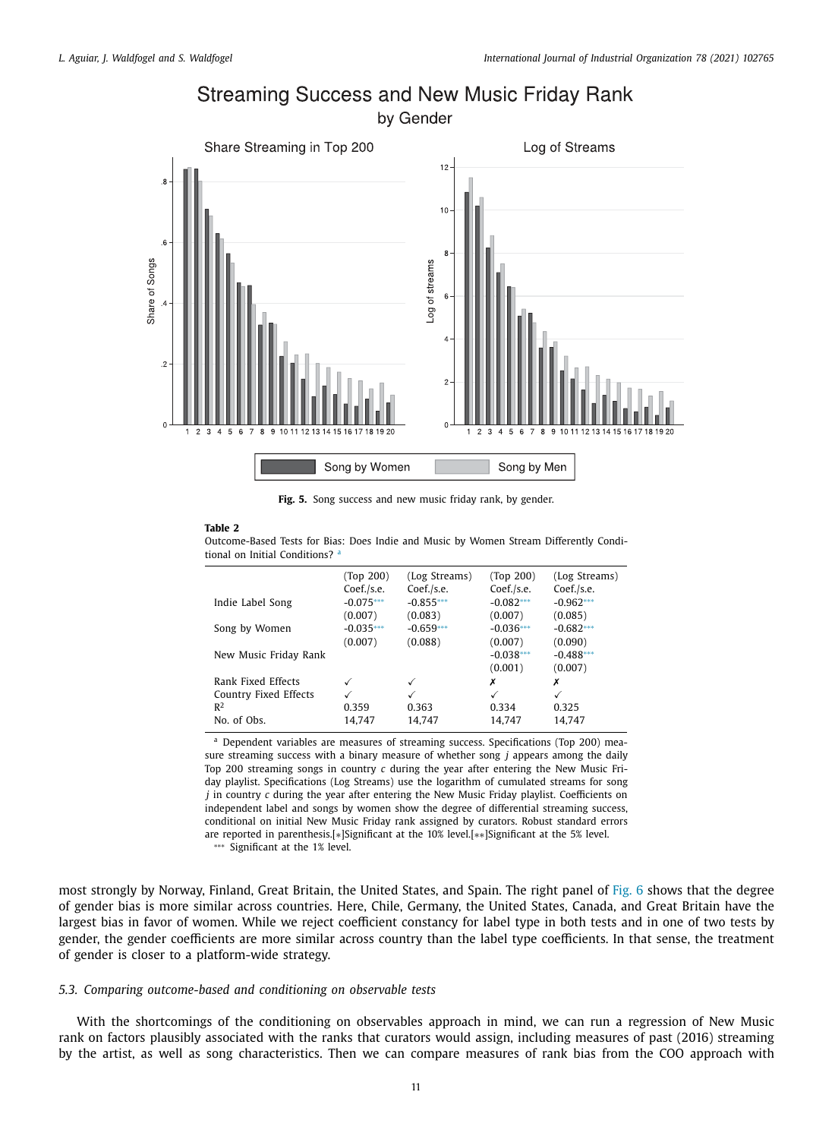

# **Streaming Success and New Music Friday Rank**

by Gender

**Fig. 5.** Song success and new music friday rank, by gender.

#### **Table 2**

Outcome-Based Tests for Bias: Does Indie and Music by Women Stream Differently Conditional on Initial Conditions? a

|                       | (Top 200)   | (Log Streams) | (Top 200)    | (Log Streams) |
|-----------------------|-------------|---------------|--------------|---------------|
|                       | Coef./s.e.  | Coef./s.e.    | Coef./s.e.   | Coef./s.e.    |
| Indie Label Song      | $-0.075***$ | $-0.855***$   | $-0.082***$  | $-0.962***$   |
|                       | (0.007)     | (0.083)       | (0.007)      | (0.085)       |
| Song by Women         | $-0.035***$ | $-0.659***$   | $-0.036***$  | $-0.682***$   |
|                       | (0.007)     | (0.088)       | (0.007)      | (0.090)       |
| New Music Friday Rank |             |               | $-0.038***$  | $-0.488***$   |
|                       |             |               | (0.001)      | (0.007)       |
| Rank Fixed Effects    |             | ✓             | Х            | Х             |
| Country Fixed Effects |             | ✓             | $\checkmark$ | ✓             |
| R <sup>2</sup>        | 0.359       | 0.363         | 0.334        | 0.325         |
| No. of Obs.           | 14.747      | 14.747        | 14.747       | 14.747        |

<sup>a</sup> Dependent variables are measures of streaming success. Specifications (Top 200) measure streaming success with a binary measure of whether song *j* appears among the daily Top 200 streaming songs in country *c* during the year after entering the New Music Friday playlist. Specifications (Log Streams) use the logarithm of cumulated streams for song *j* in country *c* during the year after entering the New Music Friday playlist. Coefficients on independent label and songs by women show the degree of differential streaming success, conditional on initial New Music Friday rank assigned by curators. Robust standard errors are reported in parenthesis.[∗]Significant at the 10% level.[∗∗]Significant at the 5% level.

∗∗∗ Significant at the 1% level.

most strongly by Norway, Finland, Great Britain, the United States, and Spain. The right panel of Fig. 6 shows that the degree of gender bias is more similar across countries. Here, Chile, Germany, the United States, Canada, and Great Britain have the largest bias in favor of women. While we reject coefficient constancy for label type in both tests and in one of two tests by gender, the gender coefficients are more similar across country than the label type coefficients. In that sense, the treatment of gender is closer to a platform-wide strategy.

### *5.3. Comparing outcome-based and conditioning on observable tests*

With the shortcomings of the conditioning on observables approach in mind, we can run a regression of New Music rank on factors plausibly associated with the ranks that curators would assign, including measures of past (2016) streaming by the artist, as well as song characteristics. Then we can compare measures of rank bias from the COO approach with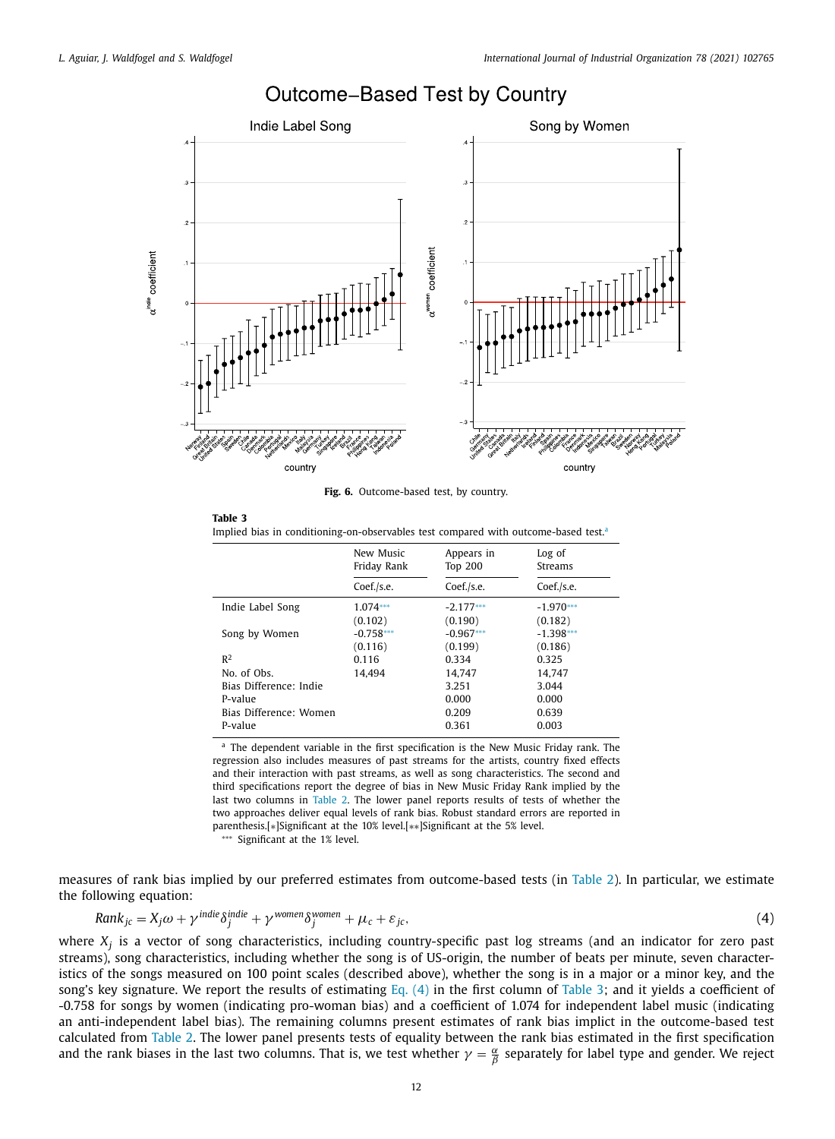

# Outcome-Based Test by Country

**Fig. 6.** Outcome-based test, by country.

**Table 3** Implied bias in conditioning-on-observables test compared with outcome-based test.<sup>a</sup>

|                        | New Music   | Appears in     | Log of      |
|------------------------|-------------|----------------|-------------|
|                        | Friday Rank | <b>Top 200</b> | Streams     |
|                        | Coef./s.e.  | Coef./s.e.     | Coef./s.e.  |
| Indie Label Song       | $1.074***$  | $-2.177***$    | $-1.970***$ |
|                        | (0.102)     | (0.190)        | (0.182)     |
| Song by Women          | $-0.758***$ | $-0.967***$    | $-1.398***$ |
|                        | (0.116)     | (0.199)        | (0.186)     |
| R <sup>2</sup>         | 0.116       | 0.334          | 0.325       |
| No. of Obs.            | 14.494      | 14.747         | 14.747      |
| Bias Difference: Indie |             | 3.251          | 3.044       |
| P-value                |             | 0.000          | 0.000       |
| Bias Difference: Women |             | 0.209          | 0.639       |
| P-value                |             | 0.361          | 0.003       |

<sup>a</sup> The dependent variable in the first specification is the New Music Friday rank. The regression also includes measures of past streams for the artists, country fixed effects and their interaction with past streams, as well as song characteristics. The second and third specifications report the degree of bias in New Music Friday Rank implied by the last two columns in Table 2. The lower panel reports results of tests of whether the two approaches deliver equal levels of rank bias. Robust standard errors are reported in parenthesis.[∗]Significant at the 10% level.[∗∗]Significant at the 5% level.

∗∗∗ Significant at the 1% level.

measures of rank bias implied by our preferred estimates from outcome-based tests (in Table 2). In particular, we estimate the following equation:

$$
Rank_{jc} = X_j \omega + \gamma^{indie} \delta_j^{indie} + \gamma^{women} \delta_j^{women} + \mu_c + \varepsilon_{jc},
$$
\n(4)

where *X<sup>j</sup>* is a vector of song characteristics, including country-specific past log streams (and an indicator for zero past streams), song characteristics, including whether the song is of US-origin, the number of beats per minute, seven characteristics of the songs measured on 100 point scales (described above), whether the song is in a major or a minor key, and the song's key signature. We report the results of estimating Eq.  $(4)$  in the first column of Table 3; and it yields a coefficient of -0.758 for songs by women (indicating pro-woman bias) and a coefficient of 1.074 for independent label music (indicating an anti-independent label bias). The remaining columns present estimates of rank bias implict in the outcome-based test calculated from Table 2. The lower panel presents tests of equality between the rank bias estimated in the first specification and the rank biases in the last two columns. That is, we test whether  $\gamma=\frac{\alpha}{\beta}$  separately for label type and gender. We reject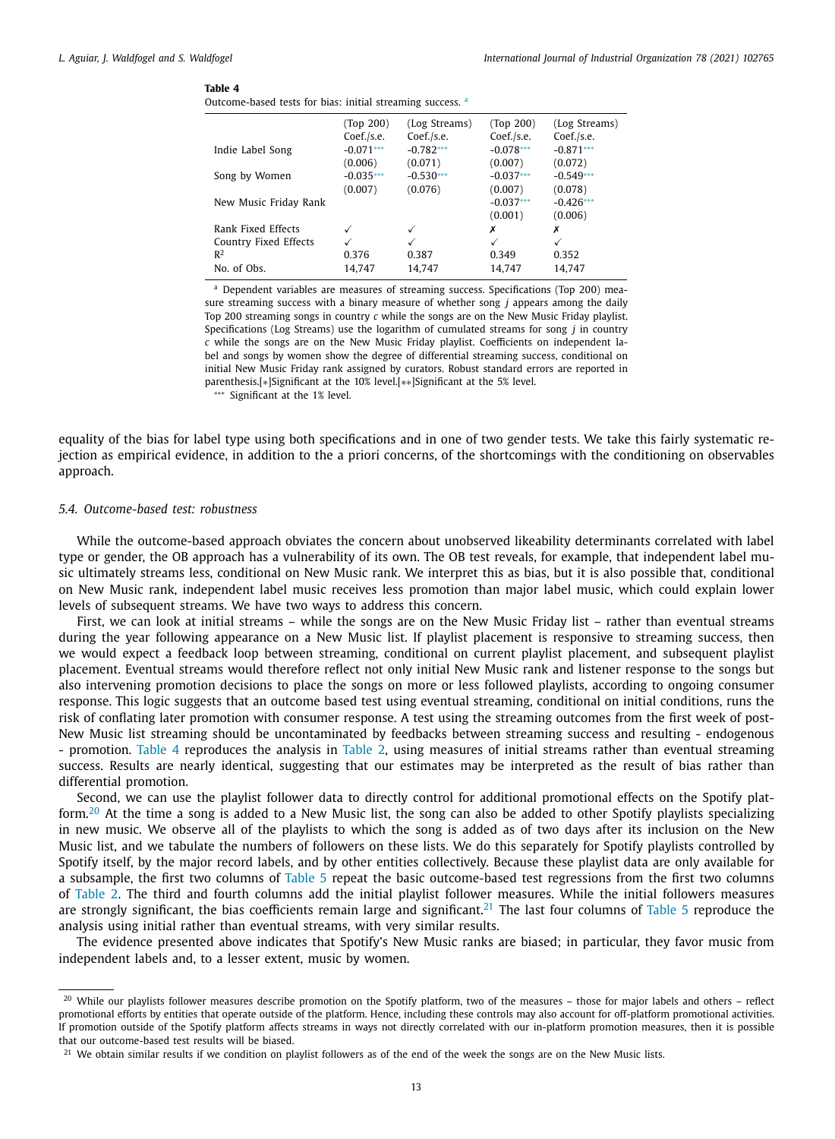#### **Table 4**

| Outcome-based tests for bias: initial streaming success. a |  |  |  |  |
|------------------------------------------------------------|--|--|--|--|
|                                                            |  |  |  |  |

|                       | (Top 200)   | (Log Streams) | (Top 200)   | (Log Streams) |
|-----------------------|-------------|---------------|-------------|---------------|
|                       | Coef./s.e.  | Coef./s.e.    | Coef./s.e.  | Coef./s.e.    |
| Indie Label Song      | $-0.071***$ | $-0.782***$   | $-0.078***$ | $-0.871***$   |
|                       | (0.006)     | (0.071)       | (0.007)     | (0.072)       |
| Song by Women         | $-0.035***$ | $-0.530***$   | $-0.037***$ | $-0.549***$   |
|                       | (0.007)     | (0.076)       | (0.007)     | (0.078)       |
| New Music Friday Rank |             |               | $-0.037***$ | $-0.426***$   |
|                       |             |               | (0.001)     | (0.006)       |
| Rank Fixed Effects    |             | ✓             | х           | х             |
| Country Fixed Effects |             | ✓             | √           | $\checkmark$  |
| $R^2$                 | 0.376       | 0.387         | 0.349       | 0.352         |
| No. of Obs.           | 14.747      | 14.747        | 14.747      | 14.747        |
|                       |             |               |             |               |

<sup>a</sup> Dependent variables are measures of streaming success. Specifications (Top 200) measure streaming success with a binary measure of whether song *j* appears among the daily Top 200 streaming songs in country *c* while the songs are on the New Music Friday playlist. Specifications (Log Streams) use the logarithm of cumulated streams for song *j* in country *c* while the songs are on the New Music Friday playlist. Coefficients on independent label and songs by women show the degree of differential streaming success, conditional on initial New Music Friday rank assigned by curators. Robust standard errors are reported in parenthesis.[∗]Significant at the 10% level.[∗∗]Significant at the 5% level.

∗∗∗ Significant at the 1% level.

equality of the bias for label type using both specifications and in one of two gender tests. We take this fairly systematic rejection as empirical evidence, in addition to the a priori concerns, of the shortcomings with the conditioning on observables approach.

# *5.4. Outcome-based test: robustness*

While the outcome-based approach obviates the concern about unobserved likeability determinants correlated with label type or gender, the OB approach has a vulnerability of its own. The OB test reveals, for example, that independent label music ultimately streams less, conditional on New Music rank. We interpret this as bias, but it is also possible that, conditional on New Music rank, independent label music receives less promotion than major label music, which could explain lower levels of subsequent streams. We have two ways to address this concern.

First, we can look at initial streams – while the songs are on the New Music Friday list – rather than eventual streams during the year following appearance on a New Music list. If playlist placement is responsive to streaming success, then we would expect a feedback loop between streaming, conditional on current playlist placement, and subsequent playlist placement. Eventual streams would therefore reflect not only initial New Music rank and listener response to the songs but also intervening promotion decisions to place the songs on more or less followed playlists, according to ongoing consumer response. This logic suggests that an outcome based test using eventual streaming, conditional on initial conditions, runs the risk of conflating later promotion with consumer response. A test using the streaming outcomes from the first week of post-New Music list streaming should be uncontaminated by feedbacks between streaming success and resulting - endogenous - promotion. Table 4 reproduces the analysis in Table 2, using measures of initial streams rather than eventual streaming success. Results are nearly identical, suggesting that our estimates may be interpreted as the result of bias rather than differential promotion.

Second, we can use the playlist follower data to directly control for additional promotional effects on the Spotify platform.<sup>20</sup> At the time a song is added to a New Music list, the song can also be added to other Spotify playlists specializing in new music. We observe all of the playlists to which the song is added as of two days after its inclusion on the New Music list, and we tabulate the numbers of followers on these lists. We do this separately for Spotify playlists controlled by Spotify itself, by the major record labels, and by other entities collectively. Because these playlist data are only available for a subsample, the first two columns of Table 5 repeat the basic outcome-based test regressions from the first two columns of Table 2. The third and fourth columns add the initial playlist follower measures. While the initial followers measures are strongly significant, the bias coefficients remain large and significant.<sup>21</sup> The last four columns of Table 5 reproduce the analysis using initial rather than eventual streams, with very similar results.

The evidence presented above indicates that Spotify's New Music ranks are biased; in particular, they favor music from independent labels and, to a lesser extent, music by women.

<sup>&</sup>lt;sup>20</sup> While our playlists follower measures describe promotion on the Spotify platform, two of the measures – those for major labels and others – reflect promotional efforts by entities that operate outside of the platform. Hence, including these controls may also account for off-platform promotional activities. If promotion outside of the Spotify platform affects streams in ways not directly correlated with our in-platform promotion measures, then it is possible that our outcome-based test results will be biased.

<sup>&</sup>lt;sup>21</sup> We obtain similar results if we condition on playlist followers as of the end of the week the songs are on the New Music lists.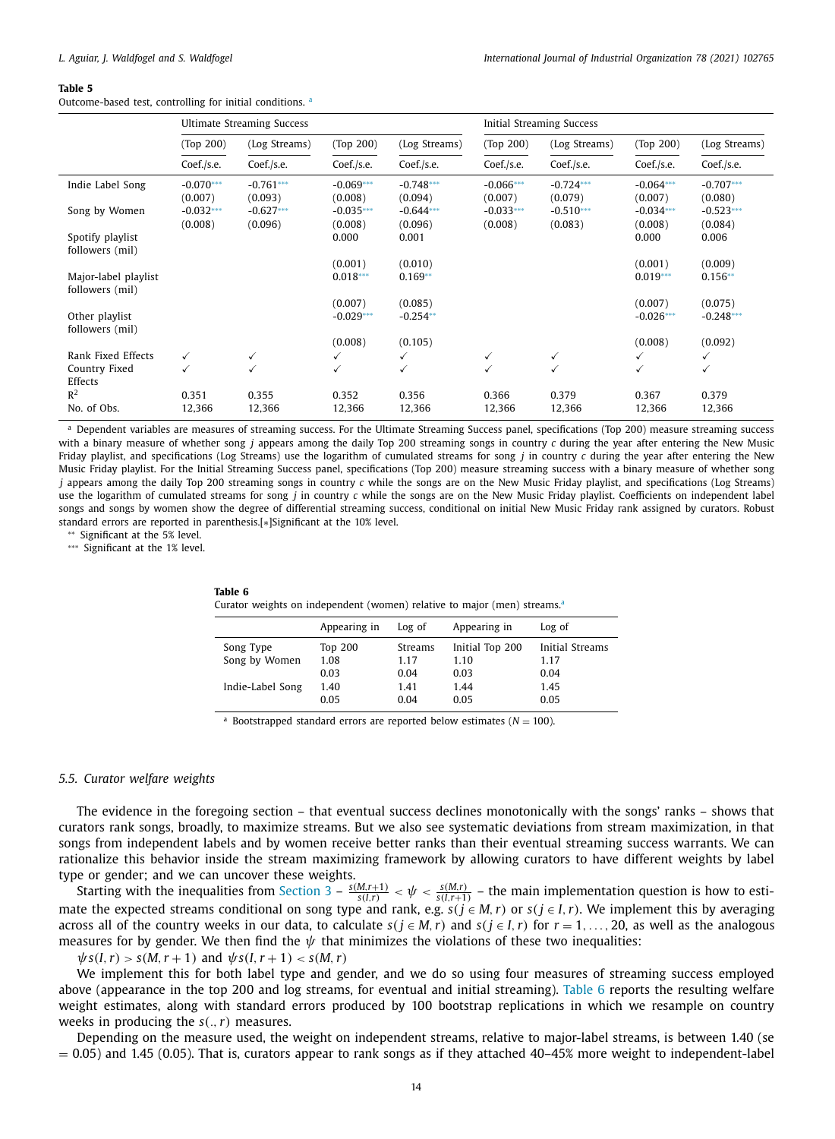#### **Table 5**

Outcome-based test, controlling for initial conditions.<sup>a</sup>

|                                     | <b>Ultimate Streaming Success</b> |                        |                        | <b>Initial Streaming Success</b> |                        |                        |                        |                        |
|-------------------------------------|-----------------------------------|------------------------|------------------------|----------------------------------|------------------------|------------------------|------------------------|------------------------|
|                                     | (Top 200)                         | (Log Streams)          | (Top 200)              | (Log Streams)                    | (Top 200)              | (Log Streams)          | (Top 200)              | (Log Streams)          |
|                                     | Coef./s.e.                        | Coef./s.e.             | Coef./s.e.             | Coef./s.e.                       | Coef./s.e.             | Coef./s.e.             | Coef./s.e.             | Coef./s.e.             |
| Indie Label Song                    | $-0.070***$<br>(0.007)            | $-0.761***$<br>(0.093) | $-0.069***$<br>(0.008) | $-0.748***$<br>(0.094)           | $-0.066***$<br>(0.007) | $-0.724***$<br>(0.079) | $-0.064***$<br>(0.007) | $-0.707***$<br>(0.080) |
| Song by Women                       | $-0.032***$<br>(0.008)            | $-0.627***$<br>(0.096) | $-0.035***$<br>(0.008) | $-0.644***$<br>(0.096)           | $-0.033***$<br>(0.008) | $-0.510***$<br>(0.083) | $-0.034***$<br>(0.008) | $-0.523***$<br>(0.084) |
| Spotify playlist<br>followers (mil) |                                   |                        | 0.000                  | 0.001                            |                        |                        | 0.000                  | 0.006                  |
| Major-label playlist                |                                   |                        | (0.001)<br>$0.018***$  | (0.010)<br>$0.169**$             |                        |                        | (0.001)<br>$0.019***$  | (0.009)<br>$0.156**$   |
| followers (mil)                     |                                   |                        | (0.007)                | (0.085)                          |                        |                        | (0.007)                | (0.075)                |
| Other playlist<br>followers (mil)   |                                   |                        | $-0.029***$            | $-0.254**$                       |                        |                        | $-0.026***$            | $-0.248***$            |
|                                     |                                   |                        | (0.008)                | (0.105)                          |                        |                        | (0.008)                | (0.092)                |
| Rank Fixed Effects                  | ✓                                 | ✓                      | ✓                      | ✓                                | ✓                      | ✓                      | ✓                      | ✓                      |
| Country Fixed<br>Effects            | $\checkmark$                      | ✓                      | ✓                      | ✓                                | $\checkmark$           | $\checkmark$           | ✓                      | ✓                      |
| $R^2$<br>No. of Obs.                | 0.351<br>12,366                   | 0.355<br>12,366        | 0.352<br>12,366        | 0.356<br>12,366                  | 0.366<br>12,366        | 0.379<br>12,366        | 0.367<br>12,366        | 0.379<br>12,366        |

a Dependent variables are measures of streaming success. For the Ultimate Streaming Success panel, specifications (Top 200) measure streaming success with a binary measure of whether song *j* appears among the daily Top 200 streaming songs in country *c* during the year after entering the New Music Friday playlist, and specifications (Log Streams) use the logarithm of cumulated streams for song *j* in country *c* during the year after entering the New Music Friday playlist. For the Initial Streaming Success panel, specifications (Top 200) measure streaming success with a binary measure of whether song *j* appears among the daily Top 200 streaming songs in country *c* while the songs are on the New Music Friday playlist, and specifications (Log Streams) use the logarithm of cumulated streams for song *j* in country *c* while the songs are on the New Music Friday playlist. Coefficients on independent label songs and songs by women show the degree of differential streaming success, conditional on initial New Music Friday rank assigned by curators. Robust standard errors are reported in parenthesis.[∗]Significant at the 10% level.

∗∗ Significant at the 5% level.

∗∗∗ Significant at the 1% level.

Curator weights on independent (women) relative to major (men) streams.<sup>a</sup>

|                  | Appearing in   | Log of  | Appearing in    | Log of          |
|------------------|----------------|---------|-----------------|-----------------|
| Song Type        | <b>Top 200</b> | Streams | Initial Top 200 | Initial Streams |
| Song by Women    | 1.08           | 1.17    | 1.10            | 1.17            |
|                  | 0.03           | 0.04    | 0.03            | 0.04            |
| Indie-Label Song | 1.40           | 1.41    | 1.44            | 1.45            |
|                  | 0.05           | 0.04    | 0.05            | 0.05            |
|                  |                |         |                 |                 |

<sup>a</sup> Bootstrapped standard errors are reported below estimates ( $N = 100$ ).

# *5.5. Curator welfare weights*

The evidence in the foregoing section – that eventual success declines monotonically with the songs' ranks – shows that curators rank songs, broadly, to maximize streams. But we also see systematic deviations from stream maximization, in that songs from independent labels and by women receive better ranks than their eventual streaming success warrants. We can rationalize this behavior inside the stream maximizing framework by allowing curators to have different weights by label type or gender; and we can uncover these weights.

Starting with the inequalities from Section  $3 - \frac{s(M,r+1)}{s(I,r)} < \psi < \frac{s(M,r)}{s(I,r+1)}$  – the main implementation question is how to estimate the expected streams conditional on song type and rank, e.g.  $s(j \in M, r)$  or  $s(j \in I, r)$ . We implement this by averaging across all of the country weeks in our data, to calculate  $s(j \in M, r)$  and  $s(j \in I, r)$  for  $r = 1, \ldots, 20$ , as well as the analogous measures for by gender. We then find the  $\psi$  that minimizes the violations of these two inequalities:

 $\psi s(I, r) > s(M, r + 1)$  and  $\psi s(I, r + 1) < s(M, r)$ 

We implement this for both label type and gender, and we do so using four measures of streaming success employed above (appearance in the top 200 and log streams, for eventual and initial streaming). Table 6 reports the resulting welfare weight estimates, along with standard errors produced by 100 bootstrap replications in which we resample on country weeks in producing the *s*(.,*r*) measures.

Depending on the measure used, the weight on independent streams, relative to major-label streams, is between 1.40 (se  $= 0.05$ ) and 1.45 (0.05). That is, curators appear to rank songs as if they attached 40–45% more weight to independent-label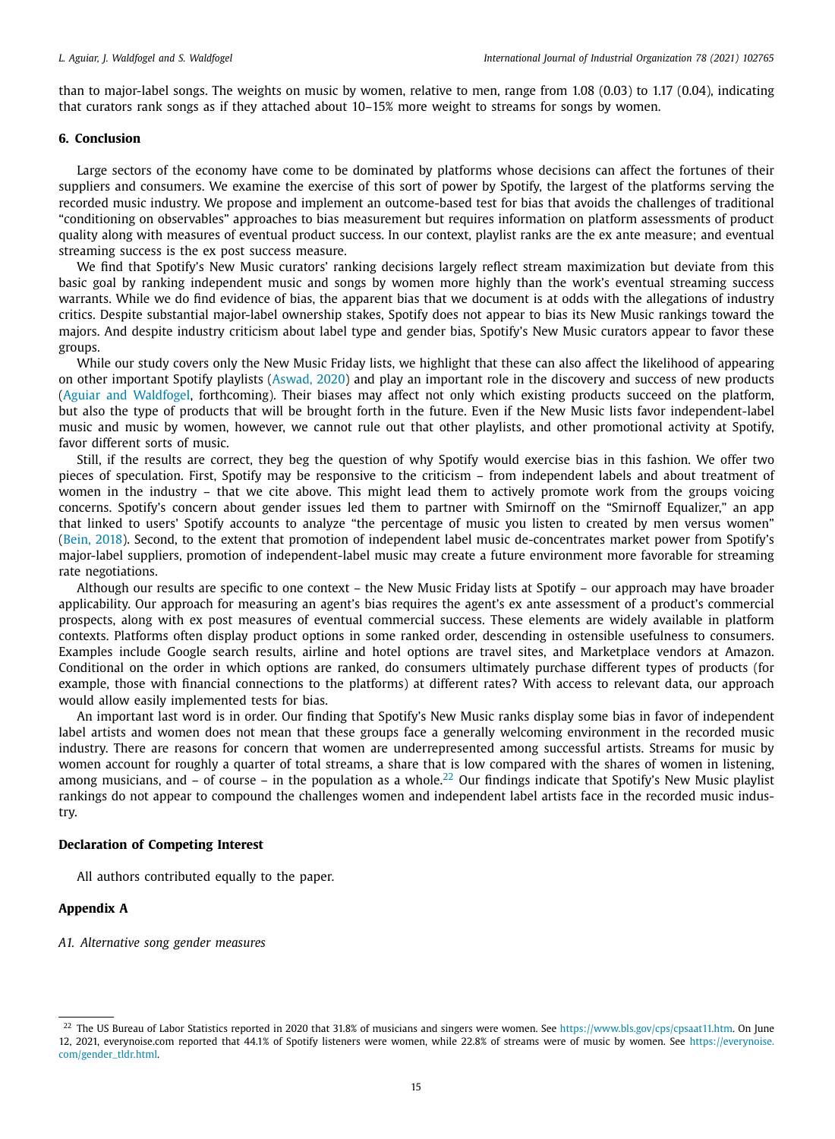than to major-label songs. The weights on music by women, relative to men, range from 1.08 (0.03) to 1.17 (0.04), indicating that curators rank songs as if they attached about 10–15% more weight to streams for songs by women.

# **6. Conclusion**

Large sectors of the economy have come to be dominated by platforms whose decisions can affect the fortunes of their suppliers and consumers. We examine the exercise of this sort of power by Spotify, the largest of the platforms serving the recorded music industry. We propose and implement an outcome-based test for bias that avoids the challenges of traditional "conditioning on observables" approaches to bias measurement but requires information on platform assessments of product quality along with measures of eventual product success. In our context, playlist ranks are the ex ante measure; and eventual streaming success is the ex post success measure.

We find that Spotify's New Music curators' ranking decisions largely reflect stream maximization but deviate from this basic goal by ranking independent music and songs by women more highly than the work's eventual streaming success warrants. While we do find evidence of bias, the apparent bias that we document is at odds with the allegations of industry critics. Despite substantial major-label ownership stakes, Spotify does not appear to bias its New Music rankings toward the majors. And despite industry criticism about label type and gender bias, Spotify's New Music curators appear to favor these groups.

While our study covers only the New Music Friday lists, we highlight that these can also affect the likelihood of appearing on other important Spotify playlists (Aswad, 2020) and play an important role in the discovery and success of new products (Aguiar and Waldfogel, forthcoming). Their biases may affect not only which existing products succeed on the platform, but also the type of products that will be brought forth in the future. Even if the New Music lists favor independent-label music and music by women, however, we cannot rule out that other playlists, and other promotional activity at Spotify, favor different sorts of music.

Still, if the results are correct, they beg the question of why Spotify would exercise bias in this fashion. We offer two pieces of speculation. First, Spotify may be responsive to the criticism – from independent labels and about treatment of women in the industry – that we cite above. This might lead them to actively promote work from the groups voicing concerns. Spotify's concern about gender issues led them to partner with Smirnoff on the "Smirnoff Equalizer," an app that linked to users' Spotify accounts to analyze "the percentage of music you listen to created by men versus women" (Bein, 2018). Second, to the extent that promotion of independent label music de-concentrates market power from Spotify's major-label suppliers, promotion of independent-label music may create a future environment more favorable for streaming rate negotiations.

Although our results are specific to one context – the New Music Friday lists at Spotify – our approach may have broader applicability. Our approach for measuring an agent's bias requires the agent's ex ante assessment of a product's commercial prospects, along with ex post measures of eventual commercial success. These elements are widely available in platform contexts. Platforms often display product options in some ranked order, descending in ostensible usefulness to consumers. Examples include Google search results, airline and hotel options are travel sites, and Marketplace vendors at Amazon. Conditional on the order in which options are ranked, do consumers ultimately purchase different types of products (for example, those with financial connections to the platforms) at different rates? With access to relevant data, our approach would allow easily implemented tests for bias.

An important last word is in order. Our finding that Spotify's New Music ranks display some bias in favor of independent label artists and women does not mean that these groups face a generally welcoming environment in the recorded music industry. There are reasons for concern that women are underrepresented among successful artists. Streams for music by women account for roughly a quarter of total streams, a share that is low compared with the shares of women in listening, among musicians, and – of course – in the population as a whole.<sup>22</sup> Our findings indicate that Spotify's New Music playlist rankings do not appear to compound the challenges women and independent label artists face in the recorded music industry.

## **Declaration of Competing Interest**

All authors contributed equally to the paper.

### **Appendix A**

*A1. Alternative song gender measures*

<sup>&</sup>lt;sup>22</sup> The US Bureau of Labor Statistics reported in 2020 that 31.8% of musicians and singers were women. See https://www.bls.gov/cps/cpsaat11.htm. On June 12, 2021, everynoise.com reported that 44.1% of Spotify listeners were women, while 22.8% of streams were of music by women. See https://everynoise. com/gender\_tldr.html.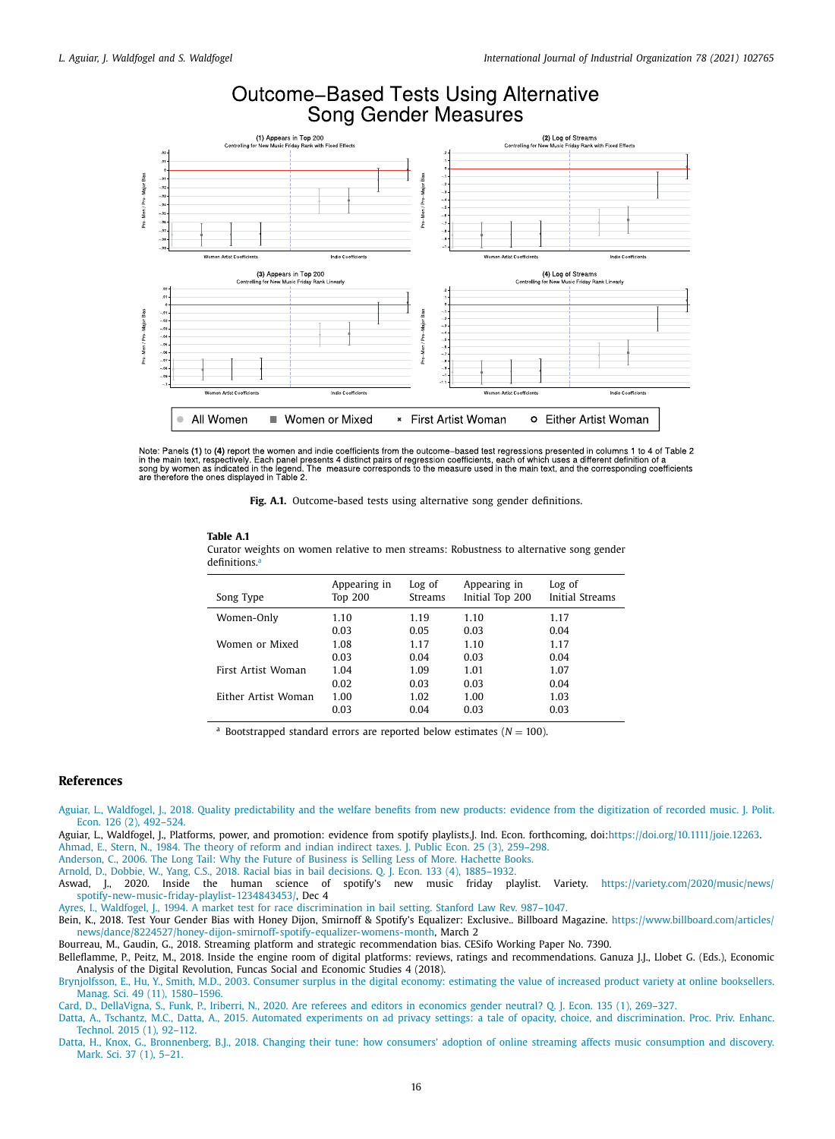



Note: Panels (1) to (4) report the women and indie coefficients from the outcome-based test regressions presented in columns 1 to 4 of Table 2<br>in the main text, respectively. Each panel presents 4 distinct pairs of regress are therefore the ones displayed in Table 2.

**Fig. A.1.** Outcome-based tests using alternative song gender definitions.

# **Table A.1**

Curator weights on women relative to men streams: Robustness to alternative song gender  $definitions.$ 

| Song Type           | Appearing in<br><b>Top 200</b> | Log of<br>Streams | Appearing in<br>Initial Top 200 | Log of<br>Initial Streams |
|---------------------|--------------------------------|-------------------|---------------------------------|---------------------------|
| Women-Only          | 1.10                           | 1.19              | 1.10                            | 1.17                      |
|                     | 0.03                           | 0.05              | 0.03                            | 0.04                      |
| Women or Mixed      | 1.08                           | 1.17              | 1.10                            | 1.17                      |
|                     | 0.03                           | 0.04              | 0.03                            | 0.04                      |
| First Artist Woman  | 1.04                           | 1.09              | 1.01                            | 1.07                      |
|                     | 0.02                           | 0.03              | 0.03                            | 0.04                      |
| Either Artist Woman | 1.00                           | 1.02              | 1.00                            | 1.03                      |
|                     | 0.03                           | 0.04              | 0.03                            | 0.03                      |

<sup>a</sup> Bootstrapped standard errors are reported below estimates ( $N = 100$ ).

### **References**

- Aguiar, L., Waldfogel, J., 2018. Quality predictability and the welfare benefits from new products: evidence from the digitization of recorded music. J. Polit. Econ. 126 (2), 492–524.
- Aguiar, L., Waldfogel, J., Platforms, power, and promotion: evidence from spotify playlists.J. Ind. Econ. forthcoming, doi:https://doi.org/10.1111/joie.12263.
- Ahmad, E., Stern, N., 1984. The theory of reform and indian indirect taxes. J. Public Econ. 25 (3), 259–298.
- Anderson, C., 2006. The Long Tail: Why the Future of Business is Selling Less of More. Hachette Books. Arnold, D., Dobbie, W., Yang, C.S., 2018. Racial bias in bail decisions. Q. J. Econ. 133 (4), 1885–1932.
- 
- Aswad, J., 2020. Inside the human science of spotify's new music friday playlist. Variety. https://variety.com/2020/music/news/ spotify-new-music-friday-playlist-1234843453/, Dec 4
- Ayres, I., Waldfogel, J., 1994. A market test for race discrimination in bail setting. Stanford Law Rev. 987–1047.
- Bein, K., 2018. Test Your Gender Bias with Honey Dijon, Smirnoff & Spotify's Equalizer: Exclusive.. Billboard Magazine. https://www.billboard.com/articles/ news/dance/8224527/honey-dijon-smirnoff-spotify-equalizer-womens-month, March 2
- Bourreau, M., Gaudin, G., 2018. Streaming platform and strategic recommendation bias. CESifo Working Paper No. 7390.
- Belleflamme, P., Peitz, M., 2018. Inside the engine room of digital platforms: reviews, ratings and recommendations. Ganuza J.J., Llobet G. (Eds.), Economic Analysis of the Digital Revolution, Funcas Social and Economic Studies 4 (2018).
- Brynjolfsson, E., Hu, Y., Smith, M.D., 2003. Consumer surplus in the digital economy: estimating the value of increased product variety at online booksellers. Manag. Sci. 49 (11), 1580–1596.
- Card, D., DellaVigna, S., Funk, P., Iriberri, N., 2020. Are referees and editors in economics gender neutral? Q. J. Econ. 135 (1), 269–327.
- Datta, A., Tschantz, M.C., Datta, A., 2015. Automated experiments on ad privacy settings: a tale of opacity, choice, and discrimination. Proc. Priv. Enhanc. Technol. 2015 (1), 92–112.
- Datta, H., Knox, G., Bronnenberg, B.J., 2018. Changing their tune: how consumers' adoption of online streaming affects music consumption and discovery. Mark. Sci. 37 (1), 5–21.